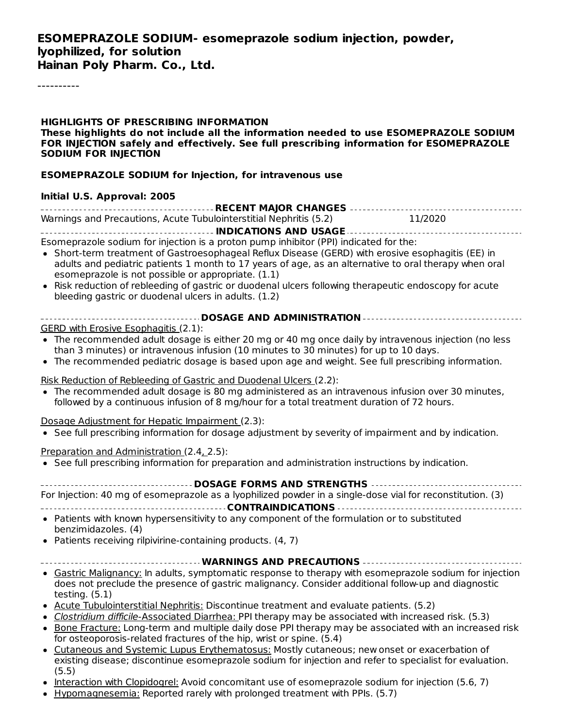#### **ESOMEPRAZOLE SODIUM- esomeprazole sodium injection, powder, lyophilized, for solution Hainan Poly Pharm. Co., Ltd.**

----------

**HIGHLIGHTS OF PRESCRIBING INFORMATION These highlights do not include all the information needed to use ESOMEPRAZOLE SODIUM FOR INJECTION safely and effectively. See full prescribing information for ESOMEPRAZOLE SODIUM FOR INJECTION**

#### **ESOMEPRAZOLE SODIUM for Injection, for intravenous use**

#### **Initial U.S. Approval: 2005**

| Warnings and Precautions, Acute Tubulointerstitial Nephritis (5.2) | 11/2020 |
|--------------------------------------------------------------------|---------|
|                                                                    |         |
|                                                                    |         |

Esomeprazole sodium for injection is a proton pump inhibitor (PPI) indicated for the:

- Short-term treatment of Gastroesophageal Reflux Disease (GERD) with erosive esophagitis (EE) in adults and pediatric patients 1 month to 17 years of age, as an alternative to oral therapy when oral esomeprazole is not possible or appropriate. (1.1)
- Risk reduction of rebleeding of gastric or duodenal ulcers following therapeutic endoscopy for acute bleeding gastric or duodenal ulcers in adults. (1.2)
- **DOSAGE AND ADMINISTRATION** GERD with Erosive Esophagitis (2.1):
- The recommended adult dosage is either 20 mg or 40 mg once daily by intravenous injection (no less than 3 minutes) or intravenous infusion (10 minutes to 30 minutes) for up to 10 days.
- The recommended pediatric dosage is based upon age and weight. See full prescribing information.

Risk Reduction of Rebleeding of Gastric and Duodenal Ulcers (2.2):

The recommended adult dosage is 80 mg administered as an intravenous infusion over 30 minutes, followed by a continuous infusion of 8 mg/hour for a total treatment duration of 72 hours.

Dosage Adjustment for Hepatic Impairment (2.3):

• See full prescribing information for dosage adjustment by severity of impairment and by indication.

Preparation and Administration (2.4, 2.5):

• See full prescribing information for preparation and administration instructions by indication.

#### **DOSAGE FORMS AND STRENGTHS**

| _____________________________                                                                              |  |
|------------------------------------------------------------------------------------------------------------|--|
| For Injection: 40 mg of esomeprazole as a lyophilized powder in a single-dose vial for reconstitution. (3) |  |

**CONTRAINDICATIONS**

- Patients with known hypersensitivity to any component of the formulation or to substituted benzimidazoles. (4)
- $\bullet$  Patients receiving rilpivirine-containing products. (4, 7)
- **WARNINGS AND PRECAUTIONS**
- Gastric Malignancy: In adults, symptomatic response to therapy with esomeprazole sodium for injection does not preclude the presence of gastric malignancy. Consider additional follow-up and diagnostic testing. (5.1)
- Acute Tubulointerstitial Nephritis: Discontinue treatment and evaluate patients. (5.2)
- Clostridium difficile-Associated Diarrhea: PPI therapy may be associated with increased risk. (5.3)
- Bone Fracture: Long-term and multiple daily dose PPI therapy may be associated with an increased risk for osteoporosis-related fractures of the hip, wrist or spine. (5.4)
- Cutaneous and Systemic Lupus Erythematosus: Mostly cutaneous; new onset or exacerbation of  $\bullet$ existing disease; discontinue esomeprazole sodium for injection and refer to specialist for evaluation. (5.5)
- Interaction with Clopidogrel: Avoid concomitant use of esomeprazole sodium for injection (5.6, 7)
- Hypomagnesemia: Reported rarely with prolonged treatment with PPIs. (5.7)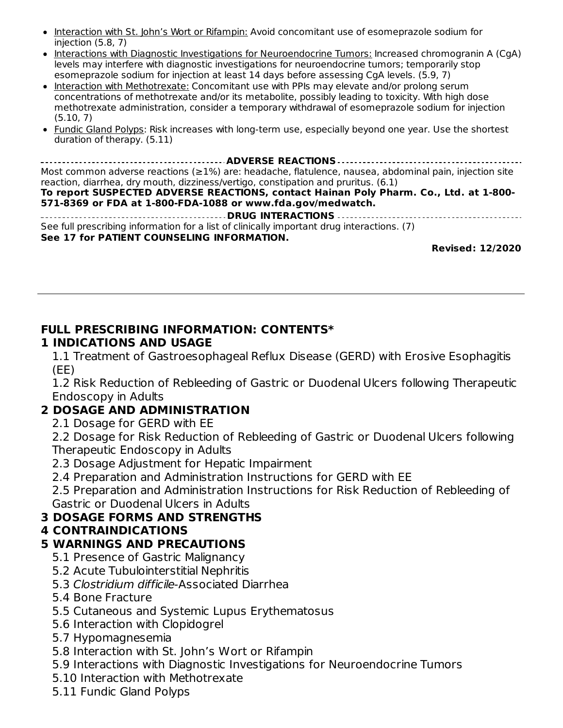- Interaction with St. John's Wort or Rifampin: Avoid concomitant use of esomeprazole sodium for injection (5.8, 7)
- Interactions with Diagnostic Investigations for Neuroendocrine Tumors: Increased chromogranin A (CgA) levels may interfere with diagnostic investigations for neuroendocrine tumors; temporarily stop esomeprazole sodium for injection at least 14 days before assessing CgA levels. (5.9, 7)
- Interaction with Methotrexate: Concomitant use with PPIs may elevate and/or prolong serum concentrations of methotrexate and/or its metabolite, possibly leading to toxicity. With high dose methotrexate administration, consider a temporary withdrawal of esomeprazole sodium for injection (5.10, 7)
- Fundic Gland Polyps: Risk increases with long-term use, especially beyond one year. Use the shortest duration of therapy. (5.11)

**ADVERSE REACTIONS** Most common adverse reactions (≥1%) are: headache, flatulence, nausea, abdominal pain, injection site reaction, diarrhea, dry mouth, dizziness/vertigo, constipation and pruritus. (6.1) **To report SUSPECTED ADVERSE REACTIONS, contact Hainan Poly Pharm. Co., Ltd. at 1-800- 571-8369 or FDA at 1-800-FDA-1088 or www.fda.gov/medwatch. DRUG INTERACTIONS** See full prescribing information for a list of clinically important drug interactions. (7) **See 17 for PATIENT COUNSELING INFORMATION.**

**Revised: 12/2020**

### **FULL PRESCRIBING INFORMATION: CONTENTS\***

#### **1 INDICATIONS AND USAGE**

1.1 Treatment of Gastroesophageal Reflux Disease (GERD) with Erosive Esophagitis (EE)

1.2 Risk Reduction of Rebleeding of Gastric or Duodenal Ulcers following Therapeutic Endoscopy in Adults

#### **2 DOSAGE AND ADMINISTRATION**

2.1 Dosage for GERD with EE

2.2 Dosage for Risk Reduction of Rebleeding of Gastric or Duodenal Ulcers following Therapeutic Endoscopy in Adults

- 2.3 Dosage Adjustment for Hepatic Impairment
- 2.4 Preparation and Administration Instructions for GERD with EE

2.5 Preparation and Administration Instructions for Risk Reduction of Rebleeding of Gastric or Duodenal Ulcers in Adults

### **3 DOSAGE FORMS AND STRENGTHS**

#### **4 CONTRAINDICATIONS**

### **5 WARNINGS AND PRECAUTIONS**

- 5.1 Presence of Gastric Malignancy
- 5.2 Acute Tubulointerstitial Nephritis
- 5.3 Clostridium difficile-Associated Diarrhea
- 5.4 Bone Fracture
- 5.5 Cutaneous and Systemic Lupus Erythematosus
- 5.6 Interaction with Clopidogrel
- 5.7 Hypomagnesemia
- 5.8 Interaction with St. John's Wort or Rifampin
- 5.9 Interactions with Diagnostic Investigations for Neuroendocrine Tumors
- 5.10 Interaction with Methotrexate
- 5.11 Fundic Gland Polyps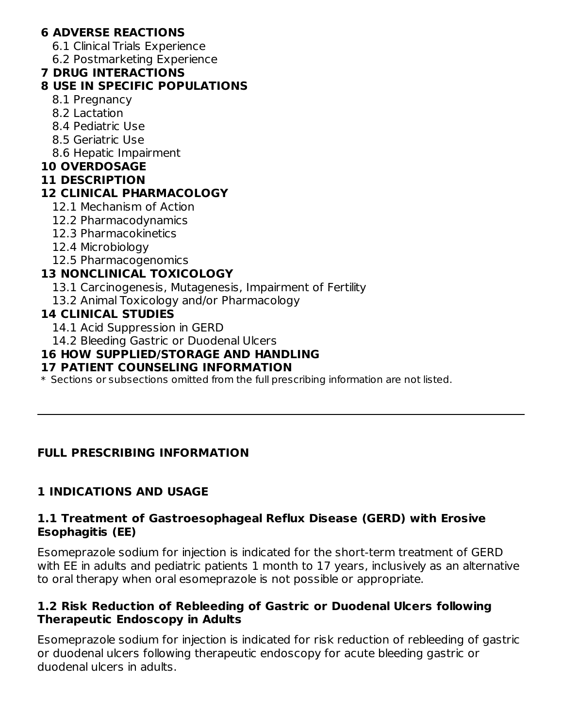### **6 ADVERSE REACTIONS**

6.1 Clinical Trials Experience

6.2 Postmarketing Experience

#### **7 DRUG INTERACTIONS**

#### **8 USE IN SPECIFIC POPULATIONS**

- 8.1 Pregnancy
- 8.2 Lactation
- 8.4 Pediatric Use
- 8.5 Geriatric Use
- 8.6 Hepatic Impairment

#### **10 OVERDOSAGE**

#### **11 DESCRIPTION**

### **12 CLINICAL PHARMACOLOGY**

- 12.1 Mechanism of Action
- 12.2 Pharmacodynamics
- 12.3 Pharmacokinetics
- 12.4 Microbiology
- 12.5 Pharmacogenomics

### **13 NONCLINICAL TOXICOLOGY**

- 13.1 Carcinogenesis, Mutagenesis, Impairment of Fertility
- 13.2 Animal Toxicology and/or Pharmacology

#### **14 CLINICAL STUDIES**

- 14.1 Acid Suppression in GERD
- 14.2 Bleeding Gastric or Duodenal Ulcers

#### **16 HOW SUPPLIED/STORAGE AND HANDLING**

#### **17 PATIENT COUNSELING INFORMATION**

 $\ast$  Sections or subsections omitted from the full prescribing information are not listed.

#### **FULL PRESCRIBING INFORMATION**

### **1 INDICATIONS AND USAGE**

#### **1.1 Treatment of Gastroesophageal Reflux Disease (GERD) with Erosive Esophagitis (EE)**

Esomeprazole sodium for injection is indicated for the short-term treatment of GERD with EE in adults and pediatric patients 1 month to 17 years, inclusively as an alternative to oral therapy when oral esomeprazole is not possible or appropriate.

#### **1.2 Risk Reduction of Rebleeding of Gastric or Duodenal Ulcers following Therapeutic Endoscopy in Adults**

Esomeprazole sodium for injection is indicated for risk reduction of rebleeding of gastric or duodenal ulcers following therapeutic endoscopy for acute bleeding gastric or duodenal ulcers in adults.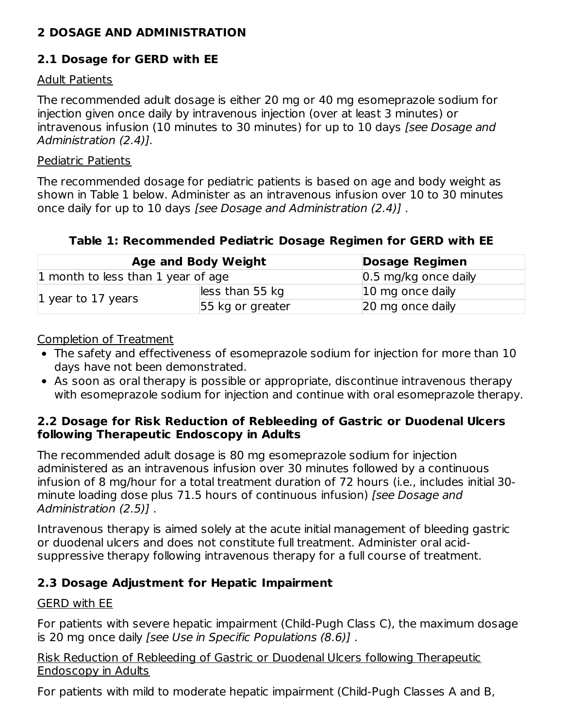#### **2 DOSAGE AND ADMINISTRATION**

### **2.1 Dosage for GERD with EE**

#### Adult Patients

The recommended adult dosage is either 20 mg or 40 mg esomeprazole sodium for injection given once daily by intravenous injection (over at least 3 minutes) or intravenous infusion (10 minutes to 30 minutes) for up to 10 days [see Dosage and Administration (2.4)].

#### Pediatric Patients

The recommended dosage for pediatric patients is based on age and body weight as shown in Table 1 below. Administer as an intravenous infusion over 10 to 30 minutes once daily for up to 10 days [see Dosage and Administration (2.4)] .

#### **Table 1: Recommended Pediatric Dosage Regimen for GERD with EE**

|                                    | <b>Age and Body Weight</b> | <b>Dosage Regimen</b>           |
|------------------------------------|----------------------------|---------------------------------|
| 1 month to less than 1 year of age |                            | $ 0.5 \rangle$ mg/kg once daily |
| 1 year to 17 years                 | less than 55 kg            | $ 10 \rangle$ mg once daily     |
|                                    | 55 kg or greater           | 20 mg once daily                |

#### Completion of Treatment

- The safety and effectiveness of esomeprazole sodium for injection for more than 10 days have not been demonstrated.
- As soon as oral therapy is possible or appropriate, discontinue intravenous therapy with esomeprazole sodium for injection and continue with oral esomeprazole therapy.

#### **2.2 Dosage for Risk Reduction of Rebleeding of Gastric or Duodenal Ulcers following Therapeutic Endoscopy in Adults**

The recommended adult dosage is 80 mg esomeprazole sodium for injection administered as an intravenous infusion over 30 minutes followed by a continuous infusion of 8 mg/hour for a total treatment duration of 72 hours (i.e., includes initial 30 minute loading dose plus 71.5 hours of continuous infusion) [see Dosage and Administration (2.5)] .

Intravenous therapy is aimed solely at the acute initial management of bleeding gastric or duodenal ulcers and does not constitute full treatment. Administer oral acidsuppressive therapy following intravenous therapy for a full course of treatment.

### **2.3 Dosage Adjustment for Hepatic Impairment**

#### GERD with EE

For patients with severe hepatic impairment (Child-Pugh Class C), the maximum dosage is 20 mg once daily [see Use in Specific Populations (8.6)] .

#### Risk Reduction of Rebleeding of Gastric or Duodenal Ulcers following Therapeutic Endoscopy in Adults

For patients with mild to moderate hepatic impairment (Child-Pugh Classes A and B,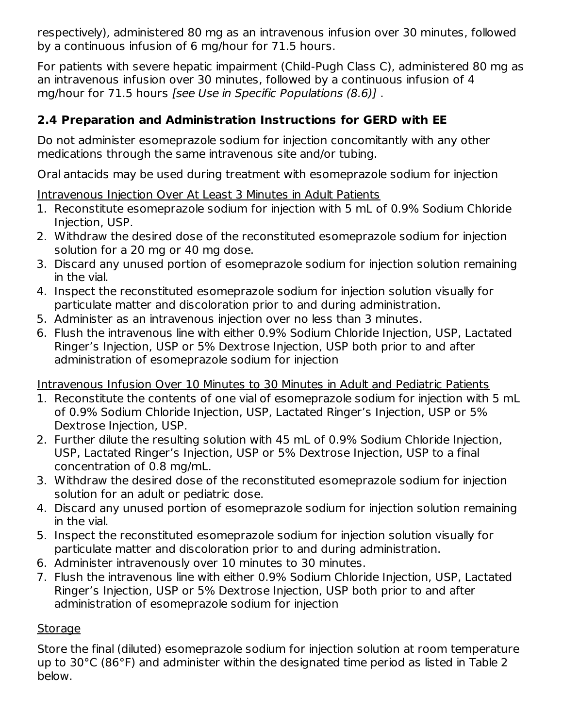respectively), administered 80 mg as an intravenous infusion over 30 minutes, followed by a continuous infusion of 6 mg/hour for 71.5 hours.

For patients with severe hepatic impairment (Child-Pugh Class C), administered 80 mg as an intravenous infusion over 30 minutes, followed by a continuous infusion of 4 mg/hour for 71.5 hours [see Use in Specific Populations (8.6)] .

### **2.4 Preparation and Administration Instructions for GERD with EE**

Do not administer esomeprazole sodium for injection concomitantly with any other medications through the same intravenous site and/or tubing.

Oral antacids may be used during treatment with esomeprazole sodium for injection

### Intravenous Injection Over At Least 3 Minutes in Adult Patients

- 1. Reconstitute esomeprazole sodium for injection with 5 mL of 0.9% Sodium Chloride Injection, USP.
- 2. Withdraw the desired dose of the reconstituted esomeprazole sodium for injection solution for a 20 mg or 40 mg dose.
- 3. Discard any unused portion of esomeprazole sodium for injection solution remaining in the vial.
- 4. Inspect the reconstituted esomeprazole sodium for injection solution visually for particulate matter and discoloration prior to and during administration.
- 5. Administer as an intravenous injection over no less than 3 minutes.
- 6. Flush the intravenous line with either 0.9% Sodium Chloride Injection, USP, Lactated Ringer's Injection, USP or 5% Dextrose Injection, USP both prior to and after administration of esomeprazole sodium for injection

Intravenous Infusion Over 10 Minutes to 30 Minutes in Adult and Pediatric Patients

- 1. Reconstitute the contents of one vial of esomeprazole sodium for injection with 5 mL of 0.9% Sodium Chloride Injection, USP, Lactated Ringer's Injection, USP or 5% Dextrose Injection, USP.
- 2. Further dilute the resulting solution with 45 mL of 0.9% Sodium Chloride Injection, USP, Lactated Ringer's Injection, USP or 5% Dextrose Injection, USP to a final concentration of 0.8 mg/mL.
- 3. Withdraw the desired dose of the reconstituted esomeprazole sodium for injection solution for an adult or pediatric dose.
- 4. Discard any unused portion of esomeprazole sodium for injection solution remaining in the vial.
- 5. Inspect the reconstituted esomeprazole sodium for injection solution visually for particulate matter and discoloration prior to and during administration.
- 6. Administer intravenously over 10 minutes to 30 minutes.
- 7. Flush the intravenous line with either 0.9% Sodium Chloride Injection, USP, Lactated Ringer's Injection, USP or 5% Dextrose Injection, USP both prior to and after administration of esomeprazole sodium for injection

### Storage

Store the final (diluted) esomeprazole sodium for injection solution at room temperature up to 30°C (86°F) and administer within the designated time period as listed in Table 2 below.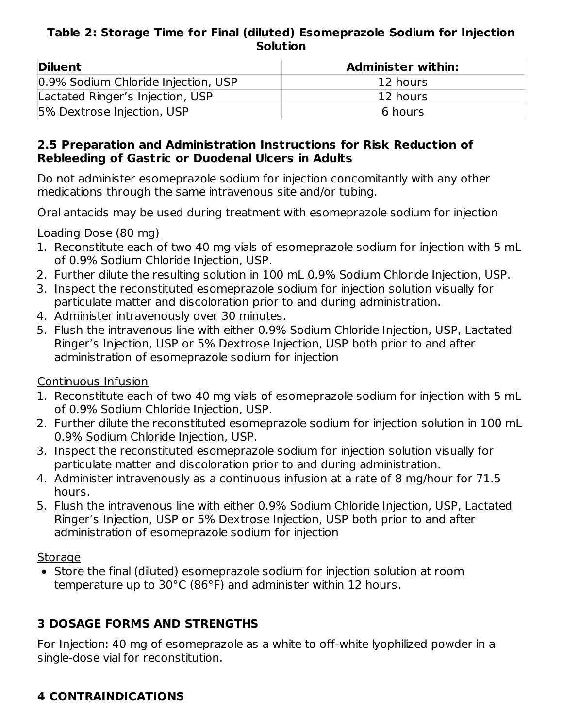#### **Table 2: Storage Time for Final (diluted) Esomeprazole Sodium for Injection Solution**

| <b>Diluent</b>                      | <b>Administer within:</b> |
|-------------------------------------|---------------------------|
| 0.9% Sodium Chloride Injection, USP | 12 hours                  |
| Lactated Ringer's Injection, USP    | 12 hours                  |
| 5% Dextrose Injection, USP          | 6 hours                   |

#### **2.5 Preparation and Administration Instructions for Risk Reduction of Rebleeding of Gastric or Duodenal Ulcers in Adults**

Do not administer esomeprazole sodium for injection concomitantly with any other medications through the same intravenous site and/or tubing.

Oral antacids may be used during treatment with esomeprazole sodium for injection

#### Loading Dose (80 mg)

- 1. Reconstitute each of two 40 mg vials of esomeprazole sodium for injection with 5 mL of 0.9% Sodium Chloride Injection, USP.
- 2. Further dilute the resulting solution in 100 mL 0.9% Sodium Chloride Injection, USP.
- 3. Inspect the reconstituted esomeprazole sodium for injection solution visually for particulate matter and discoloration prior to and during administration.
- 4. Administer intravenously over 30 minutes.
- 5. Flush the intravenous line with either 0.9% Sodium Chloride Injection, USP, Lactated Ringer's Injection, USP or 5% Dextrose Injection, USP both prior to and after administration of esomeprazole sodium for injection

### Continuous Infusion

- 1. Reconstitute each of two 40 mg vials of esomeprazole sodium for injection with 5 mL of 0.9% Sodium Chloride Injection, USP.
- 2. Further dilute the reconstituted esomeprazole sodium for injection solution in 100 mL 0.9% Sodium Chloride Injection, USP.
- 3. Inspect the reconstituted esomeprazole sodium for injection solution visually for particulate matter and discoloration prior to and during administration.
- 4. Administer intravenously as a continuous infusion at a rate of 8 mg/hour for 71.5 hours.
- 5. Flush the intravenous line with either 0.9% Sodium Chloride Injection, USP, Lactated Ringer's Injection, USP or 5% Dextrose Injection, USP both prior to and after administration of esomeprazole sodium for injection

#### Storage

Store the final (diluted) esomeprazole sodium for injection solution at room temperature up to 30°C (86°F) and administer within 12 hours.

### **3 DOSAGE FORMS AND STRENGTHS**

For Injection: 40 mg of esomeprazole as a white to off-white lyophilized powder in a single-dose vial for reconstitution.

## **4 CONTRAINDICATIONS**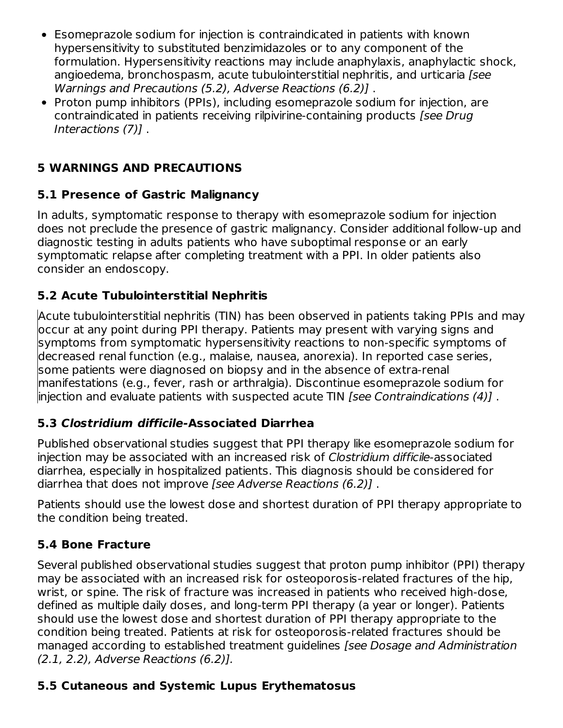- Esomeprazole sodium for injection is contraindicated in patients with known  $\bullet$ hypersensitivity to substituted benzimidazoles or to any component of the formulation. Hypersensitivity reactions may include anaphylaxis, anaphylactic shock, angioedema, bronchospasm, acute tubulointerstitial nephritis, and urticaria [see Warnings and Precautions (5.2), Adverse Reactions (6.2)] .
- Proton pump inhibitors (PPIs), including esomeprazole sodium for injection, are contraindicated in patients receiving rilpivirine-containing products [see Drug Interactions (7)] .

### **5 WARNINGS AND PRECAUTIONS**

### **5.1 Presence of Gastric Malignancy**

In adults, symptomatic response to therapy with esomeprazole sodium for injection does not preclude the presence of gastric malignancy. Consider additional follow-up and diagnostic testing in adults patients who have suboptimal response or an early symptomatic relapse after completing treatment with a PPI. In older patients also consider an endoscopy.

### **5.2 Acute Tubulointerstitial Nephritis**

Acute tubulointerstitial nephritis (TIN) has been observed in patients taking PPIs and may occur at any point during PPI therapy. Patients may present with varying signs and symptoms from symptomatic hypersensitivity reactions to non-specific symptoms of decreased renal function (e.g., malaise, nausea, anorexia). In reported case series, some patients were diagnosed on biopsy and in the absence of extra-renal manifestations (e.g., fever, rash or arthralgia). Discontinue esomeprazole sodium for injection and evaluate patients with suspected acute TIN [see Contraindications (4)] .

### **5.3 Clostridium difficile-Associated Diarrhea**

Published observational studies suggest that PPI therapy like esomeprazole sodium for injection may be associated with an increased risk of Clostridium difficile-associated diarrhea, especially in hospitalized patients. This diagnosis should be considered for diarrhea that does not improve [see Adverse Reactions (6.2)] .

Patients should use the lowest dose and shortest duration of PPI therapy appropriate to the condition being treated.

### **5.4 Bone Fracture**

Several published observational studies suggest that proton pump inhibitor (PPI) therapy may be associated with an increased risk for osteoporosis-related fractures of the hip, wrist, or spine. The risk of fracture was increased in patients who received high-dose, defined as multiple daily doses, and long-term PPI therapy (a year or longer). Patients should use the lowest dose and shortest duration of PPI therapy appropriate to the condition being treated. Patients at risk for osteoporosis-related fractures should be managed according to established treatment guidelines [see Dosage and Administration (2.1, 2.2), Adverse Reactions (6.2)].

### **5.5 Cutaneous and Systemic Lupus Erythematosus**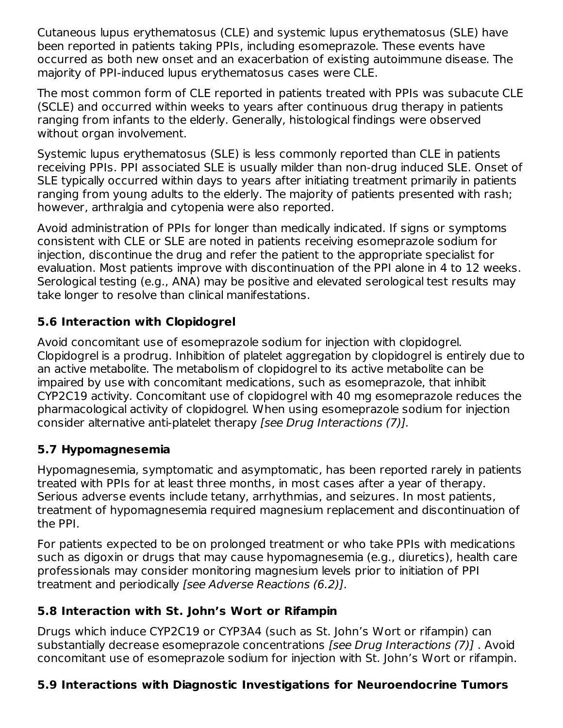Cutaneous lupus erythematosus (CLE) and systemic lupus erythematosus (SLE) have been reported in patients taking PPIs, including esomeprazole. These events have occurred as both new onset and an exacerbation of existing autoimmune disease. The majority of PPI-induced lupus erythematosus cases were CLE.

The most common form of CLE reported in patients treated with PPIs was subacute CLE (SCLE) and occurred within weeks to years after continuous drug therapy in patients ranging from infants to the elderly. Generally, histological findings were observed without organ involvement.

Systemic lupus erythematosus (SLE) is less commonly reported than CLE in patients receiving PPIs. PPI associated SLE is usually milder than non-drug induced SLE. Onset of SLE typically occurred within days to years after initiating treatment primarily in patients ranging from young adults to the elderly. The majority of patients presented with rash; however, arthralgia and cytopenia were also reported.

Avoid administration of PPIs for longer than medically indicated. If signs or symptoms consistent with CLE or SLE are noted in patients receiving esomeprazole sodium for injection, discontinue the drug and refer the patient to the appropriate specialist for evaluation. Most patients improve with discontinuation of the PPI alone in 4 to 12 weeks. Serological testing (e.g., ANA) may be positive and elevated serological test results may take longer to resolve than clinical manifestations.

### **5.6 Interaction with Clopidogrel**

Avoid concomitant use of esomeprazole sodium for injection with clopidogrel. Clopidogrel is a prodrug. Inhibition of platelet aggregation by clopidogrel is entirely due to an active metabolite. The metabolism of clopidogrel to its active metabolite can be impaired by use with concomitant medications, such as esomeprazole, that inhibit CYP2C19 activity. Concomitant use of clopidogrel with 40 mg esomeprazole reduces the pharmacological activity of clopidogrel. When using esomeprazole sodium for injection consider alternative anti-platelet therapy [see Drug Interactions (7)].

### **5.7 Hypomagnesemia**

Hypomagnesemia, symptomatic and asymptomatic, has been reported rarely in patients treated with PPIs for at least three months, in most cases after a year of therapy. Serious adverse events include tetany, arrhythmias, and seizures. In most patients, treatment of hypomagnesemia required magnesium replacement and discontinuation of the PPI.

For patients expected to be on prolonged treatment or who take PPIs with medications such as digoxin or drugs that may cause hypomagnesemia (e.g., diuretics), health care professionals may consider monitoring magnesium levels prior to initiation of PPI treatment and periodically [see Adverse Reactions (6.2)].

### **5.8 Interaction with St. John's Wort or Rifampin**

Drugs which induce CYP2C19 or CYP3A4 (such as St. John's Wort or rifampin) can substantially decrease esomeprazole concentrations [see Drug Interactions (7)] . Avoid concomitant use of esomeprazole sodium for injection with St. John's Wort or rifampin.

## **5.9 Interactions with Diagnostic Investigations for Neuroendocrine Tumors**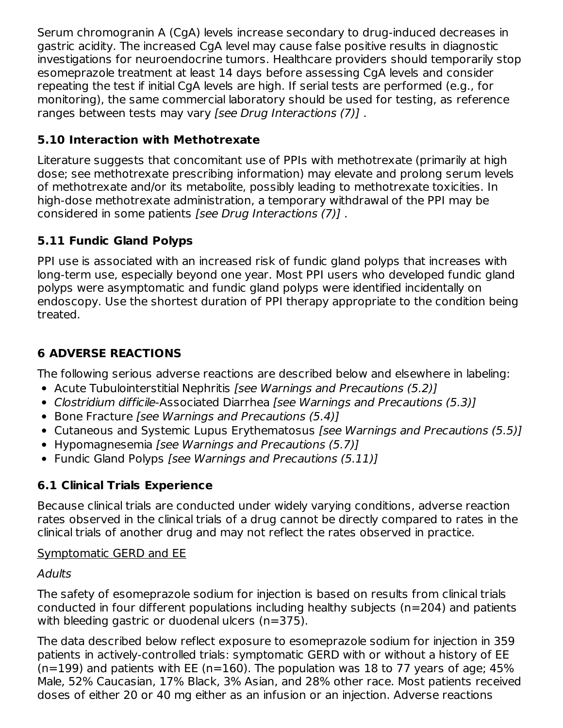Serum chromogranin A (CgA) levels increase secondary to drug-induced decreases in gastric acidity. The increased CgA level may cause false positive results in diagnostic investigations for neuroendocrine tumors. Healthcare providers should temporarily stop esomeprazole treatment at least 14 days before assessing CgA levels and consider repeating the test if initial CgA levels are high. If serial tests are performed (e.g., for monitoring), the same commercial laboratory should be used for testing, as reference ranges between tests may vary [see Drug Interactions (7)] .

### **5.10 Interaction with Methotrexate**

Literature suggests that concomitant use of PPIs with methotrexate (primarily at high dose; see methotrexate prescribing information) may elevate and prolong serum levels of methotrexate and/or its metabolite, possibly leading to methotrexate toxicities. In high-dose methotrexate administration, a temporary withdrawal of the PPI may be considered in some patients [see Drug Interactions (7)] .

### **5.11 Fundic Gland Polyps**

PPI use is associated with an increased risk of fundic gland polyps that increases with long-term use, especially beyond one year. Most PPI users who developed fundic gland polyps were asymptomatic and fundic gland polyps were identified incidentally on endoscopy. Use the shortest duration of PPI therapy appropriate to the condition being treated.

### **6 ADVERSE REACTIONS**

The following serious adverse reactions are described below and elsewhere in labeling:

- Acute Tubulointerstitial Nephritis *[see Warnings and Precautions (5.2)]*
- Clostridium difficile-Associated Diarrhea [see Warnings and Precautions (5.3)]
- Bone Fracture *[see Warnings and Precautions (5.4)]*
- Cutaneous and Systemic Lupus Erythematosus *[see Warnings and Precautions (5.5)]*
- Hypomagnesemia [see Warnings and Precautions (5.7)]
- Fundic Gland Polyps [see Warnings and Precautions (5.11)]

## **6.1 Clinical Trials Experience**

Because clinical trials are conducted under widely varying conditions, adverse reaction rates observed in the clinical trials of a drug cannot be directly compared to rates in the clinical trials of another drug and may not reflect the rates observed in practice.

### Symptomatic GERD and EE

### **Adults**

The safety of esomeprazole sodium for injection is based on results from clinical trials conducted in four different populations including healthy subjects (n=204) and patients with bleeding gastric or duodenal ulcers (n=375).

The data described below reflect exposure to esomeprazole sodium for injection in 359 patients in actively-controlled trials: symptomatic GERD with or without a history of EE  $(n=199)$  and patients with EE (n=160). The population was 18 to 77 years of age; 45% Male, 52% Caucasian, 17% Black, 3% Asian, and 28% other race. Most patients received doses of either 20 or 40 mg either as an infusion or an injection. Adverse reactions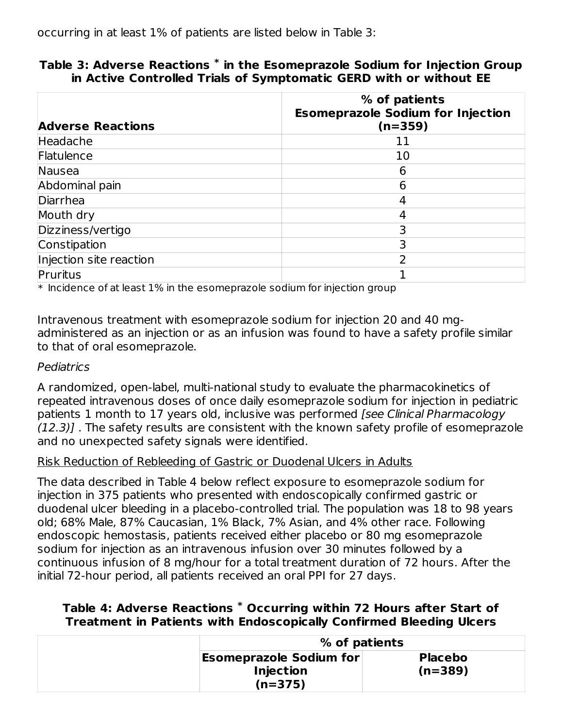| <b>Adverse Reactions</b> | % of patients<br><b>Esomeprazole Sodium for Injection</b><br>$(n=359)$ |
|--------------------------|------------------------------------------------------------------------|
| Headache                 | 11                                                                     |
| Flatulence               | 10                                                                     |
| Nausea                   | 6                                                                      |
| Abdominal pain           | 6                                                                      |
| Diarrhea                 | 4                                                                      |
| Mouth dry                |                                                                        |
| Dizziness/vertigo        |                                                                        |
| Constipation             | 3                                                                      |
| Injection site reaction  | っ                                                                      |
| Pruritus                 |                                                                        |

#### **Table 3: Adverse Reactions in the Esomeprazole Sodium for Injection Group \* in Active Controlled Trials of Symptomatic GERD with or without EE**

 $\ast$  Incidence of at least 1% in the esomeprazole sodium for injection group

Intravenous treatment with esomeprazole sodium for injection 20 and 40 mgadministered as an injection or as an infusion was found to have a safety profile similar to that of oral esomeprazole.

#### Pediatrics

A randomized, open-label, multi-national study to evaluate the pharmacokinetics of repeated intravenous doses of once daily esomeprazole sodium for injection in pediatric patients 1 month to 17 years old, inclusive was performed [see Clinical Pharmacology (12.3)] . The safety results are consistent with the known safety profile of esomeprazole and no unexpected safety signals were identified.

#### Risk Reduction of Rebleeding of Gastric or Duodenal Ulcers in Adults

The data described in Table 4 below reflect exposure to esomeprazole sodium for injection in 375 patients who presented with endoscopically confirmed gastric or duodenal ulcer bleeding in a placebo-controlled trial. The population was 18 to 98 years old; 68% Male, 87% Caucasian, 1% Black, 7% Asian, and 4% other race. Following endoscopic hemostasis, patients received either placebo or 80 mg esomeprazole sodium for injection as an intravenous infusion over 30 minutes followed by a continuous infusion of 8 mg/hour for a total treatment duration of 72 hours. After the initial 72-hour period, all patients received an oral PPI for 27 days.

#### **Table 4: Adverse Reactions Occurring within 72 Hours after Start of \*Treatment in Patients with Endoscopically Confirmed Bleeding Ulcers**

| % of patients                                                   |                             |
|-----------------------------------------------------------------|-----------------------------|
| <b>Esomeprazole Sodium for</b><br><b>Injection</b><br>$(n=375)$ | <b>Placebo</b><br>$(n=389)$ |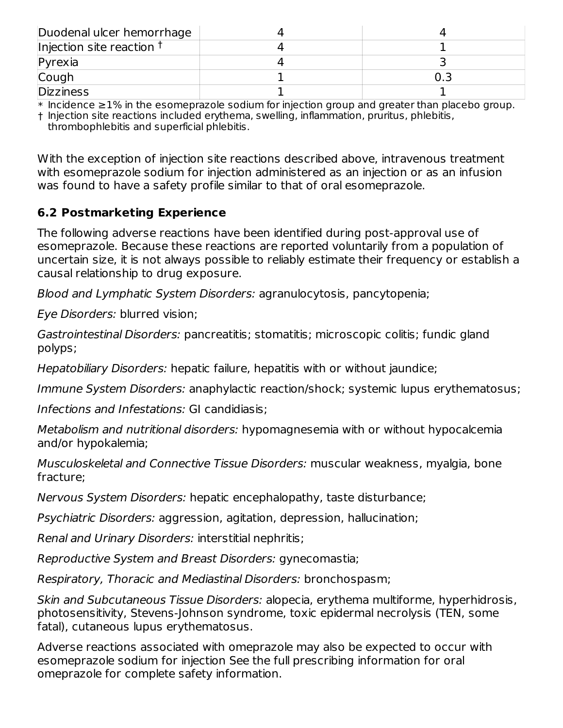| Duodenal ulcer hemorrhage   |  |
|-----------------------------|--|
| Injection site reaction $†$ |  |
| $P$ <i>yrexia</i>           |  |
| Cough                       |  |
| <b>Dizziness</b>            |  |

 $\,^*$  Incidence  $\geq$ 1% in the esomeprazole sodium for injection group and greater than placebo group.

† Injection site reactions included erythema, swelling, inflammation, pruritus, phlebitis, thrombophlebitis and superficial phlebitis.

With the exception of injection site reactions described above, intravenous treatment with esomeprazole sodium for injection administered as an injection or as an infusion was found to have a safety profile similar to that of oral esomeprazole.

### **6.2 Postmarketing Experience**

The following adverse reactions have been identified during post-approval use of esomeprazole. Because these reactions are reported voluntarily from a population of uncertain size, it is not always possible to reliably estimate their frequency or establish a causal relationship to drug exposure.

Blood and Lymphatic System Disorders: agranulocytosis, pancytopenia;

Eye Disorders: blurred vision;

Gastrointestinal Disorders: pancreatitis; stomatitis; microscopic colitis; fundic gland polyps;

Hepatobiliary Disorders: hepatic failure, hepatitis with or without jaundice;

Immune System Disorders: anaphylactic reaction/shock; systemic lupus erythematosus;

Infections and Infestations: GI candidiasis;

Metabolism and nutritional disorders: hypomagnesemia with or without hypocalcemia and/or hypokalemia;

Musculoskeletal and Connective Tissue Disorders: muscular weakness, myalgia, bone fracture;

Nervous System Disorders: hepatic encephalopathy, taste disturbance;

Psychiatric Disorders: aggression, agitation, depression, hallucination;

Renal and Urinary Disorders: interstitial nephritis;

Reproductive System and Breast Disorders: gynecomastia;

Respiratory, Thoracic and Mediastinal Disorders: bronchospasm;

Skin and Subcutaneous Tissue Disorders: alopecia, erythema multiforme, hyperhidrosis, photosensitivity, Stevens-Johnson syndrome, toxic epidermal necrolysis (TEN, some fatal), cutaneous lupus erythematosus.

Adverse reactions associated with omeprazole may also be expected to occur with esomeprazole sodium for injection See the full prescribing information for oral omeprazole for complete safety information.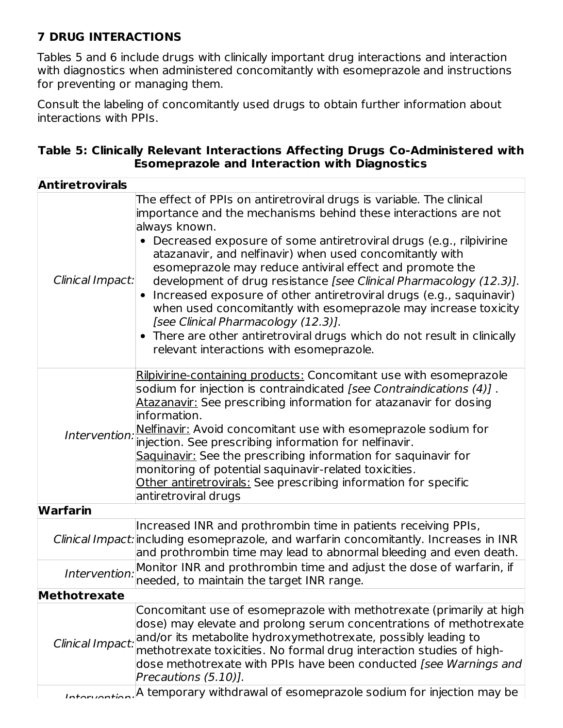### **7 DRUG INTERACTIONS**

Tables 5 and 6 include drugs with clinically important drug interactions and interaction with diagnostics when administered concomitantly with esomeprazole and instructions for preventing or managing them.

Consult the labeling of concomitantly used drugs to obtain further information about interactions with PPIs.

| Table 5: Clinically Relevant Interactions Affecting Drugs Co-Administered with |  |
|--------------------------------------------------------------------------------|--|
| <b>Esomeprazole and Interaction with Diagnostics</b>                           |  |

| <b>Antiretrovirals</b> |                                                                                                                                                                                                                                                                                                                                                                                                                                                                                                                                                                                                                                                                                                                                         |
|------------------------|-----------------------------------------------------------------------------------------------------------------------------------------------------------------------------------------------------------------------------------------------------------------------------------------------------------------------------------------------------------------------------------------------------------------------------------------------------------------------------------------------------------------------------------------------------------------------------------------------------------------------------------------------------------------------------------------------------------------------------------------|
| Clinical Impact:       | The effect of PPIs on antiretroviral drugs is variable. The clinical<br>importance and the mechanisms behind these interactions are not<br>always known.<br>• Decreased exposure of some antiretroviral drugs (e.g., rilpivirine<br>atazanavir, and nelfinavir) when used concomitantly with<br>esomeprazole may reduce antiviral effect and promote the<br>development of drug resistance [see Clinical Pharmacology (12.3)].<br>Increased exposure of other antiretroviral drugs (e.g., saquinavir)<br>when used concomitantly with esomeprazole may increase toxicity<br>[see Clinical Pharmacology (12.3)].<br>• There are other antiretroviral drugs which do not result in clinically<br>relevant interactions with esomeprazole. |
| Intervention:          | Rilpivirine-containing products: Concomitant use with esomeprazole<br>sodium for injection is contraindicated [see Contraindications (4)] .<br>Atazanavir: See prescribing information for atazanavir for dosing<br>information.<br>Nelfinavir: Avoid concomitant use with esomeprazole sodium for<br>injection. See prescribing information for nelfinavir.<br>Saquinavir: See the prescribing information for saquinavir for<br>monitoring of potential saquinavir-related toxicities.<br>Other antiretrovirals: See prescribing information for specific<br>antiretroviral drugs                                                                                                                                                     |
| <b>Warfarin</b>        |                                                                                                                                                                                                                                                                                                                                                                                                                                                                                                                                                                                                                                                                                                                                         |
|                        | Increased INR and prothrombin time in patients receiving PPIs,<br>Clinical Impact: including esomeprazole, and warfarin concomitantly. Increases in INR<br>and prothrombin time may lead to abnormal bleeding and even death.                                                                                                                                                                                                                                                                                                                                                                                                                                                                                                           |
| Intervention:          | Monitor INR and prothrombin time and adjust the dose of warfarin, if<br>needed, to maintain the target INR range.                                                                                                                                                                                                                                                                                                                                                                                                                                                                                                                                                                                                                       |
| Methotrexate           |                                                                                                                                                                                                                                                                                                                                                                                                                                                                                                                                                                                                                                                                                                                                         |
| Clinical Impact:       | Concomitant use of esomeprazole with methotrexate (primarily at high<br>dose) may elevate and prolong serum concentrations of methotrexate<br>and/or its metabolite hydroxymethotrexate, possibly leading to<br>methotrexate toxicities. No formal drug interaction studies of high-<br>dose methotrexate with PPIs have been conducted [see Warnings and<br>Precautions (5.10)].                                                                                                                                                                                                                                                                                                                                                       |
|                        | Intervaction. <sup>[A</sup> temporary withdrawal of esomeprazole sodium for injection may be                                                                                                                                                                                                                                                                                                                                                                                                                                                                                                                                                                                                                                            |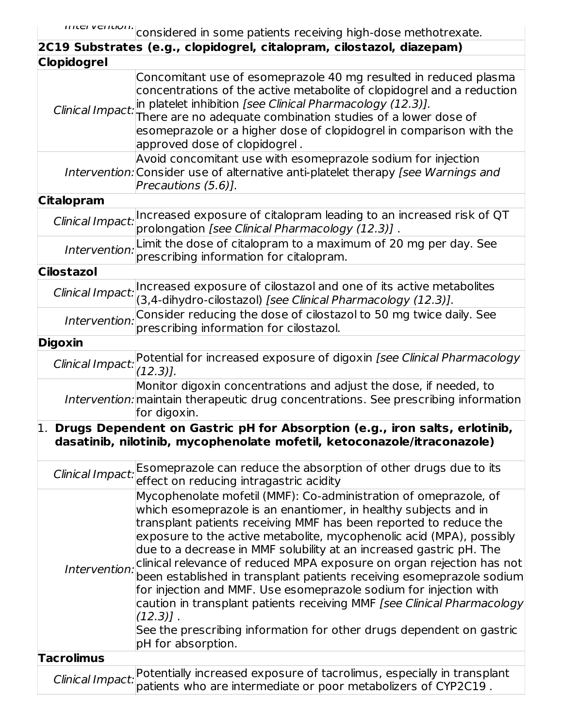$\overline{\phantom{a}}$ 

| 2C19 Substrates (e.g., clopidogrel, citalopram, cilostazol, diazepam) |                                                                                                                                                                                                                                                                                                                                                                                                                                                                                                                                                                                                                                                                                                                                                                        |  |
|-----------------------------------------------------------------------|------------------------------------------------------------------------------------------------------------------------------------------------------------------------------------------------------------------------------------------------------------------------------------------------------------------------------------------------------------------------------------------------------------------------------------------------------------------------------------------------------------------------------------------------------------------------------------------------------------------------------------------------------------------------------------------------------------------------------------------------------------------------|--|
| <b>Clopidogrel</b>                                                    |                                                                                                                                                                                                                                                                                                                                                                                                                                                                                                                                                                                                                                                                                                                                                                        |  |
| Clinical Impact:                                                      | Concomitant use of esomeprazole 40 mg resulted in reduced plasma<br>concentrations of the active metabolite of clopidogrel and a reduction<br>in platelet inhibition [see Clinical Pharmacology (12.3)].<br>There are no adequate combination studies of a lower dose of<br>esomeprazole or a higher dose of clopidogrel in comparison with the<br>approved dose of clopidogrel.                                                                                                                                                                                                                                                                                                                                                                                       |  |
|                                                                       | Avoid concomitant use with esomeprazole sodium for injection<br>Intervention: Consider use of alternative anti-platelet therapy [see Warnings and<br>Precautions (5.6)].                                                                                                                                                                                                                                                                                                                                                                                                                                                                                                                                                                                               |  |
| <b>Citalopram</b>                                                     |                                                                                                                                                                                                                                                                                                                                                                                                                                                                                                                                                                                                                                                                                                                                                                        |  |
|                                                                       | Clinical Impact: Increased exposure of citalopram leading to an increased risk of QT<br>prolongation [see Clinical Pharmacology (12.3)].                                                                                                                                                                                                                                                                                                                                                                                                                                                                                                                                                                                                                               |  |
| Intervention:                                                         | Limit the dose of citalopram to a maximum of 20 mg per day. See<br>prescribing information for citalopram.                                                                                                                                                                                                                                                                                                                                                                                                                                                                                                                                                                                                                                                             |  |
| <b>Cilostazol</b>                                                     |                                                                                                                                                                                                                                                                                                                                                                                                                                                                                                                                                                                                                                                                                                                                                                        |  |
| Clinical Impact:                                                      | Increased exposure of cilostazol and one of its active metabolites<br>(3,4-dihydro-cilostazol) [see Clinical Pharmacology (12.3)].                                                                                                                                                                                                                                                                                                                                                                                                                                                                                                                                                                                                                                     |  |
| Intervention:                                                         | Consider reducing the dose of cilostazol to 50 mg twice daily. See<br>prescribing information for cilostazol.                                                                                                                                                                                                                                                                                                                                                                                                                                                                                                                                                                                                                                                          |  |
| <b>Digoxin</b>                                                        |                                                                                                                                                                                                                                                                                                                                                                                                                                                                                                                                                                                                                                                                                                                                                                        |  |
|                                                                       | Clinical Impact: Potential for increased exposure of digoxin [see Clinical Pharmacology<br>$(12.3)$ ].                                                                                                                                                                                                                                                                                                                                                                                                                                                                                                                                                                                                                                                                 |  |
|                                                                       | Monitor digoxin concentrations and adjust the dose, if needed, to<br>Intervention: maintain therapeutic drug concentrations. See prescribing information<br>for digoxin.                                                                                                                                                                                                                                                                                                                                                                                                                                                                                                                                                                                               |  |
|                                                                       | $\vert$ Drugs Dependent on Gastric pH for Absorption (e.g., iron salts, erlotinib,<br>dasatinib, nilotinib, mycophenolate mofetil, ketoconazole/itraconazole)                                                                                                                                                                                                                                                                                                                                                                                                                                                                                                                                                                                                          |  |
| Clinical Impact:                                                      | Esomeprazole can reduce the absorption of other drugs due to its<br>effect on reducing intragastric acidity                                                                                                                                                                                                                                                                                                                                                                                                                                                                                                                                                                                                                                                            |  |
| Intervention:                                                         | Mycophenolate mofetil (MMF): Co-administration of omeprazole, of<br>which esomeprazole is an enantiomer, in healthy subjects and in<br>transplant patients receiving MMF has been reported to reduce the<br>exposure to the active metabolite, mycophenolic acid (MPA), possibly<br>due to a decrease in MMF solubility at an increased gastric pH. The<br>clinical relevance of reduced MPA exposure on organ rejection has not<br>been established in transplant patients receiving esomeprazole sodium<br>for injection and MMF. Use esomeprazole sodium for injection with<br>caution in transplant patients receiving MMF [see Clinical Pharmacology<br>$(12.3)$ ].<br>See the prescribing information for other drugs dependent on gastric<br>pH for absorption. |  |
| <b>Tacrolimus</b>                                                     |                                                                                                                                                                                                                                                                                                                                                                                                                                                                                                                                                                                                                                                                                                                                                                        |  |
|                                                                       | Clinical Impact: Potentially increased exposure of tacrolimus, especially in transplant<br>patients who are intermediate or poor metabolizers of CYP2C19.                                                                                                                                                                                                                                                                                                                                                                                                                                                                                                                                                                                                              |  |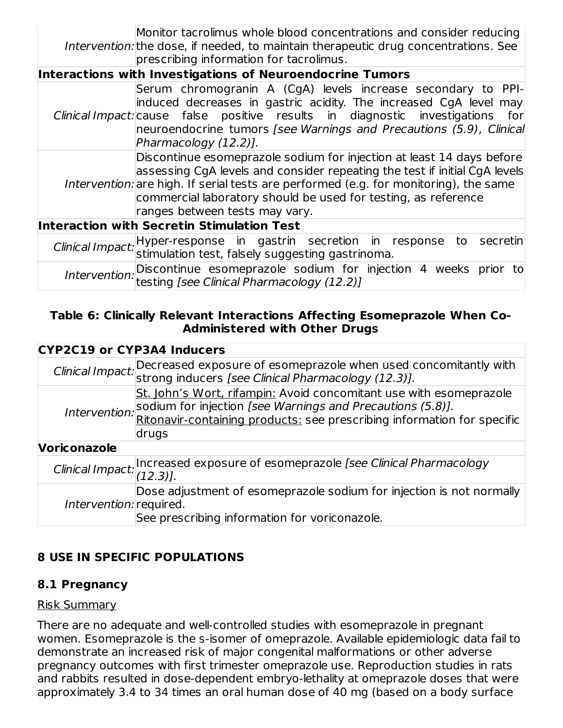Intervention: the dose, if needed, to maintain therapeutic drug concentrations. See Monitor tacrolimus whole blood concentrations and consider reducing prescribing information for tacrolimus.

| Interactions with Investigations of Neuroendocrine Tumors |                                                                                                                                                                                                                                                                                                                                                  |  |
|-----------------------------------------------------------|--------------------------------------------------------------------------------------------------------------------------------------------------------------------------------------------------------------------------------------------------------------------------------------------------------------------------------------------------|--|
|                                                           | Serum chromogranin A (CgA) levels increase secondary to PPI-<br>induced decreases in gastric acidity. The increased CgA level may<br>Clinical Impact: cause false positive results in diagnostic investigations for<br>neuroendocrine tumors [see Warnings and Precautions (5.9), Clinical<br>Pharmacology (12.2)].                              |  |
|                                                           | Discontinue esomeprazole sodium for injection at least 14 days before<br>assessing CgA levels and consider repeating the test if initial CgA levels<br>Intervention: are high. If serial tests are performed (e.g. for monitoring), the same<br>commercial laboratory should be used for testing, as reference<br>ranges between tests may vary. |  |
|                                                           | <b>Interaction with Secretin Stimulation Test</b>                                                                                                                                                                                                                                                                                                |  |
|                                                           | Clinical Impact: Hyper-response in gastrin secretion in response to<br>stimulation test, falsely suggesting gastrinoma.<br>secretin                                                                                                                                                                                                              |  |
|                                                           | Intervention: Discontinue esomeprazole sodium for injection 4 weeks prior to $\vert$<br>testing [see Clinical Pharmacology (12.2)]                                                                                                                                                                                                               |  |

#### **Table 6: Clinically Relevant Interactions Affecting Esomeprazole When Co-Administered with Other Drugs**

| <b>CYP2C19 or CYP3A4 Inducers</b> |                                                                                                                                                                   |
|-----------------------------------|-------------------------------------------------------------------------------------------------------------------------------------------------------------------|
|                                   | Clinical Impact: Decreased exposure of esomeprazole when used concomitantly with Clinical Impact: strong inducers [see Clinical Pharmacology (12.3)].             |
|                                   |                                                                                                                                                                   |
|                                   | St. John's Wort, rifampin: Avoid concomitant use with esomeprazole                                                                                                |
|                                   |                                                                                                                                                                   |
|                                   | Intervention: sodium for injection [see Warnings and Precautions (5.8)].<br>Intervention: Ritonavir-containing products: see prescribing information for specific |
|                                   | drugs                                                                                                                                                             |
| <b>Voriconazole</b>               |                                                                                                                                                                   |
|                                   | Clinical Impact: Increased exposure of esomeprazole [see Clinical Pharmacology<br>(12.3)].                                                                        |
|                                   |                                                                                                                                                                   |
|                                   | Dose adjustment of esomeprazole sodium for injection is not normally                                                                                              |
| Intervention: required.           |                                                                                                                                                                   |
|                                   | See prescribing information for voriconazole.                                                                                                                     |

## **8 USE IN SPECIFIC POPULATIONS**

### **8.1 Pregnancy**

### Risk Summary

There are no adequate and well-controlled studies with esomeprazole in pregnant women. Esomeprazole is the s-isomer of omeprazole. Available epidemiologic data fail to demonstrate an increased risk of major congenital malformations or other adverse pregnancy outcomes with first trimester omeprazole use. Reproduction studies in rats and rabbits resulted in dose-dependent embryo-lethality at omeprazole doses that were approximately 3.4 to 34 times an oral human dose of 40 mg (based on a body surface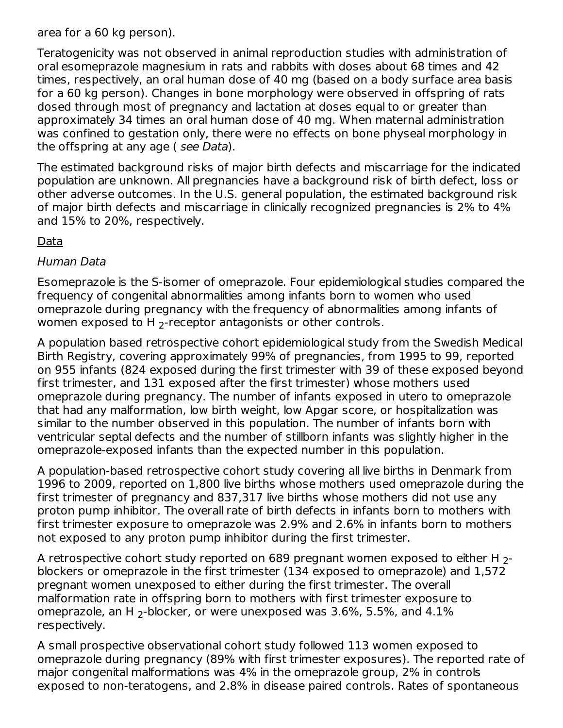area for a 60 kg person).

Teratogenicity was not observed in animal reproduction studies with administration of oral esomeprazole magnesium in rats and rabbits with doses about 68 times and 42 times, respectively, an oral human dose of 40 mg (based on a body surface area basis for a 60 kg person). Changes in bone morphology were observed in offspring of rats dosed through most of pregnancy and lactation at doses equal to or greater than approximately 34 times an oral human dose of 40 mg. When maternal administration was confined to gestation only, there were no effects on bone physeal morphology in the offspring at any age ( see Data).

The estimated background risks of major birth defects and miscarriage for the indicated population are unknown. All pregnancies have a background risk of birth defect, loss or other adverse outcomes. In the U.S. general population, the estimated background risk of major birth defects and miscarriage in clinically recognized pregnancies is 2% to 4% and 15% to 20%, respectively.

#### Data

#### Human Data

Esomeprazole is the S-isomer of omeprazole. Four epidemiological studies compared the frequency of congenital abnormalities among infants born to women who used omeprazole during pregnancy with the frequency of abnormalities among infants of women exposed to H  $_2$ -receptor antagonists or other controls.

A population based retrospective cohort epidemiological study from the Swedish Medical Birth Registry, covering approximately 99% of pregnancies, from 1995 to 99, reported on 955 infants (824 exposed during the first trimester with 39 of these exposed beyond first trimester, and 131 exposed after the first trimester) whose mothers used omeprazole during pregnancy. The number of infants exposed in utero to omeprazole that had any malformation, low birth weight, low Apgar score, or hospitalization was similar to the number observed in this population. The number of infants born with ventricular septal defects and the number of stillborn infants was slightly higher in the omeprazole-exposed infants than the expected number in this population.

A population-based retrospective cohort study covering all live births in Denmark from 1996 to 2009, reported on 1,800 live births whose mothers used omeprazole during the first trimester of pregnancy and 837,317 live births whose mothers did not use any proton pump inhibitor. The overall rate of birth defects in infants born to mothers with first trimester exposure to omeprazole was 2.9% and 2.6% in infants born to mothers not exposed to any proton pump inhibitor during the first trimester.

A retrospective cohort study reported on 689 pregnant women exposed to either H  $_{\rm 2}$ blockers or omeprazole in the first trimester (134 exposed to omeprazole) and 1,572 pregnant women unexposed to either during the first trimester. The overall malformation rate in offspring born to mothers with first trimester exposure to omeprazole, an H  $_2$ -blocker, or were unexposed was 3.6%, 5.5%, and 4.1% respectively.

A small prospective observational cohort study followed 113 women exposed to omeprazole during pregnancy (89% with first trimester exposures). The reported rate of major congenital malformations was 4% in the omeprazole group, 2% in controls exposed to non-teratogens, and 2.8% in disease paired controls. Rates of spontaneous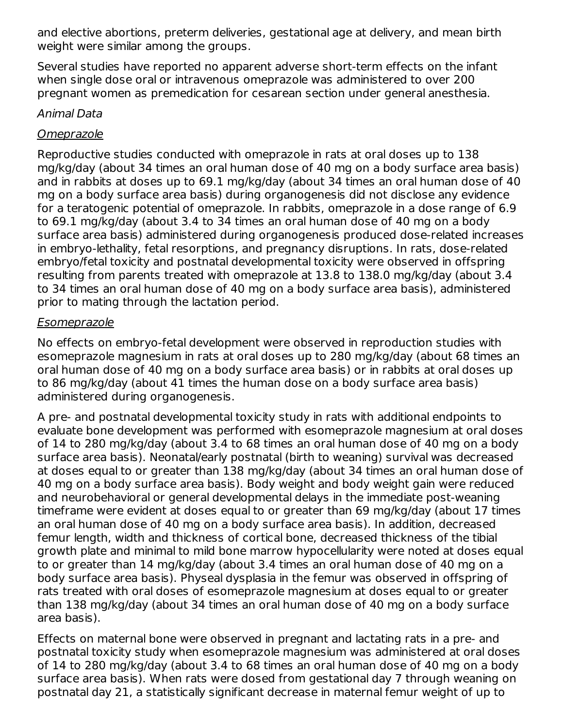and elective abortions, preterm deliveries, gestational age at delivery, and mean birth weight were similar among the groups.

Several studies have reported no apparent adverse short-term effects on the infant when single dose oral or intravenous omeprazole was administered to over 200 pregnant women as premedication for cesarean section under general anesthesia.

#### Animal Data

### **Omeprazole**

Reproductive studies conducted with omeprazole in rats at oral doses up to 138 mg/kg/day (about 34 times an oral human dose of 40 mg on a body surface area basis) and in rabbits at doses up to 69.1 mg/kg/day (about 34 times an oral human dose of 40 mg on a body surface area basis) during organogenesis did not disclose any evidence for a teratogenic potential of omeprazole. In rabbits, omeprazole in a dose range of 6.9 to 69.1 mg/kg/day (about 3.4 to 34 times an oral human dose of 40 mg on a body surface area basis) administered during organogenesis produced dose-related increases in embryo-lethality, fetal resorptions, and pregnancy disruptions. In rats, dose-related embryo/fetal toxicity and postnatal developmental toxicity were observed in offspring resulting from parents treated with omeprazole at 13.8 to 138.0 mg/kg/day (about 3.4 to 34 times an oral human dose of 40 mg on a body surface area basis), administered prior to mating through the lactation period.

#### Esomeprazole

No effects on embryo-fetal development were observed in reproduction studies with esomeprazole magnesium in rats at oral doses up to 280 mg/kg/day (about 68 times an oral human dose of 40 mg on a body surface area basis) or in rabbits at oral doses up to 86 mg/kg/day (about 41 times the human dose on a body surface area basis) administered during organogenesis.

A pre- and postnatal developmental toxicity study in rats with additional endpoints to evaluate bone development was performed with esomeprazole magnesium at oral doses of 14 to 280 mg/kg/day (about 3.4 to 68 times an oral human dose of 40 mg on a body surface area basis). Neonatal/early postnatal (birth to weaning) survival was decreased at doses equal to or greater than 138 mg/kg/day (about 34 times an oral human dose of 40 mg on a body surface area basis). Body weight and body weight gain were reduced and neurobehavioral or general developmental delays in the immediate post-weaning timeframe were evident at doses equal to or greater than 69 mg/kg/day (about 17 times an oral human dose of 40 mg on a body surface area basis). In addition, decreased femur length, width and thickness of cortical bone, decreased thickness of the tibial growth plate and minimal to mild bone marrow hypocellularity were noted at doses equal to or greater than 14 mg/kg/day (about 3.4 times an oral human dose of 40 mg on a body surface area basis). Physeal dysplasia in the femur was observed in offspring of rats treated with oral doses of esomeprazole magnesium at doses equal to or greater than 138 mg/kg/day (about 34 times an oral human dose of 40 mg on a body surface area basis).

Effects on maternal bone were observed in pregnant and lactating rats in a pre- and postnatal toxicity study when esomeprazole magnesium was administered at oral doses of 14 to 280 mg/kg/day (about 3.4 to 68 times an oral human dose of 40 mg on a body surface area basis). When rats were dosed from gestational day 7 through weaning on postnatal day 21, a statistically significant decrease in maternal femur weight of up to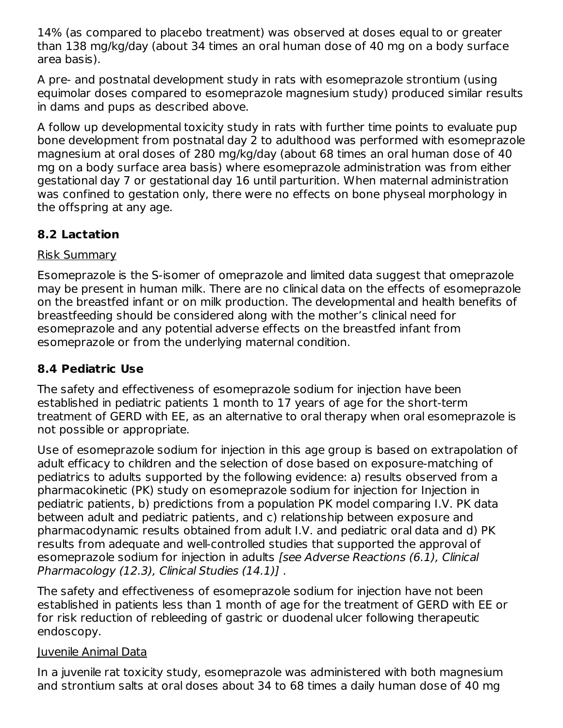14% (as compared to placebo treatment) was observed at doses equal to or greater than 138 mg/kg/day (about 34 times an oral human dose of 40 mg on a body surface area basis).

A pre- and postnatal development study in rats with esomeprazole strontium (using equimolar doses compared to esomeprazole magnesium study) produced similar results in dams and pups as described above.

A follow up developmental toxicity study in rats with further time points to evaluate pup bone development from postnatal day 2 to adulthood was performed with esomeprazole magnesium at oral doses of 280 mg/kg/day (about 68 times an oral human dose of 40 mg on a body surface area basis) where esomeprazole administration was from either gestational day 7 or gestational day 16 until parturition. When maternal administration was confined to gestation only, there were no effects on bone physeal morphology in the offspring at any age.

### **8.2 Lactation**

#### Risk Summary

Esomeprazole is the S-isomer of omeprazole and limited data suggest that omeprazole may be present in human milk. There are no clinical data on the effects of esomeprazole on the breastfed infant or on milk production. The developmental and health benefits of breastfeeding should be considered along with the mother's clinical need for esomeprazole and any potential adverse effects on the breastfed infant from esomeprazole or from the underlying maternal condition.

### **8.4 Pediatric Use**

The safety and effectiveness of esomeprazole sodium for injection have been established in pediatric patients 1 month to 17 years of age for the short-term treatment of GERD with EE, as an alternative to oral therapy when oral esomeprazole is not possible or appropriate.

Use of esomeprazole sodium for injection in this age group is based on extrapolation of adult efficacy to children and the selection of dose based on exposure-matching of pediatrics to adults supported by the following evidence: a) results observed from a pharmacokinetic (PK) study on esomeprazole sodium for injection for Injection in pediatric patients, b) predictions from a population PK model comparing I.V. PK data between adult and pediatric patients, and c) relationship between exposure and pharmacodynamic results obtained from adult I.V. and pediatric oral data and d) PK results from adequate and well-controlled studies that supported the approval of esomeprazole sodium for injection in adults [see Adverse Reactions (6.1), Clinical Pharmacology (12.3), Clinical Studies (14.1)] .

The safety and effectiveness of esomeprazole sodium for injection have not been established in patients less than 1 month of age for the treatment of GERD with EE or for risk reduction of rebleeding of gastric or duodenal ulcer following therapeutic endoscopy.

#### Juvenile Animal Data

In a juvenile rat toxicity study, esomeprazole was administered with both magnesium and strontium salts at oral doses about 34 to 68 times a daily human dose of 40 mg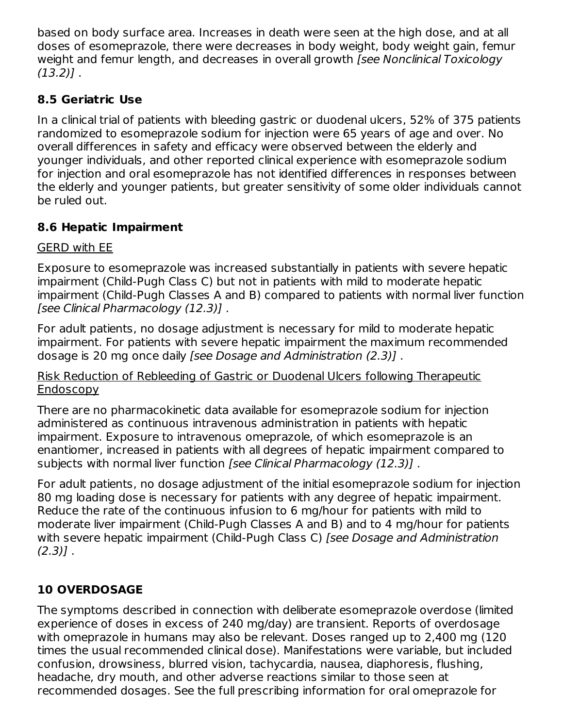based on body surface area. Increases in death were seen at the high dose, and at all doses of esomeprazole, there were decreases in body weight, body weight gain, femur weight and femur length, and decreases in overall growth *[see Nonclinical Toxicology*  $(13.2)$ ].

### **8.5 Geriatric Use**

In a clinical trial of patients with bleeding gastric or duodenal ulcers, 52% of 375 patients randomized to esomeprazole sodium for injection were 65 years of age and over. No overall differences in safety and efficacy were observed between the elderly and younger individuals, and other reported clinical experience with esomeprazole sodium for injection and oral esomeprazole has not identified differences in responses between the elderly and younger patients, but greater sensitivity of some older individuals cannot be ruled out.

### **8.6 Hepatic Impairment**

#### GERD with EE

Exposure to esomeprazole was increased substantially in patients with severe hepatic impairment (Child-Pugh Class C) but not in patients with mild to moderate hepatic impairment (Child-Pugh Classes A and B) compared to patients with normal liver function [see Clinical Pharmacology (12.3)] .

For adult patients, no dosage adjustment is necessary for mild to moderate hepatic impairment. For patients with severe hepatic impairment the maximum recommended dosage is 20 mg once daily [see Dosage and Administration (2.3)] .

#### Risk Reduction of Rebleeding of Gastric or Duodenal Ulcers following Therapeutic Endoscopy

There are no pharmacokinetic data available for esomeprazole sodium for injection administered as continuous intravenous administration in patients with hepatic impairment. Exposure to intravenous omeprazole, of which esomeprazole is an enantiomer, increased in patients with all degrees of hepatic impairment compared to subjects with normal liver function [see Clinical Pharmacology (12.3)].

For adult patients, no dosage adjustment of the initial esomeprazole sodium for injection 80 mg loading dose is necessary for patients with any degree of hepatic impairment. Reduce the rate of the continuous infusion to 6 mg/hour for patients with mild to moderate liver impairment (Child-Pugh Classes A and B) and to 4 mg/hour for patients with severe hepatic impairment (Child-Pugh Class C) [see Dosage and Administration  $(2.3)$ ].

## **10 OVERDOSAGE**

The symptoms described in connection with deliberate esomeprazole overdose (limited experience of doses in excess of 240 mg/day) are transient. Reports of overdosage with omeprazole in humans may also be relevant. Doses ranged up to 2,400 mg (120 times the usual recommended clinical dose). Manifestations were variable, but included confusion, drowsiness, blurred vision, tachycardia, nausea, diaphoresis, flushing, headache, dry mouth, and other adverse reactions similar to those seen at recommended dosages. See the full prescribing information for oral omeprazole for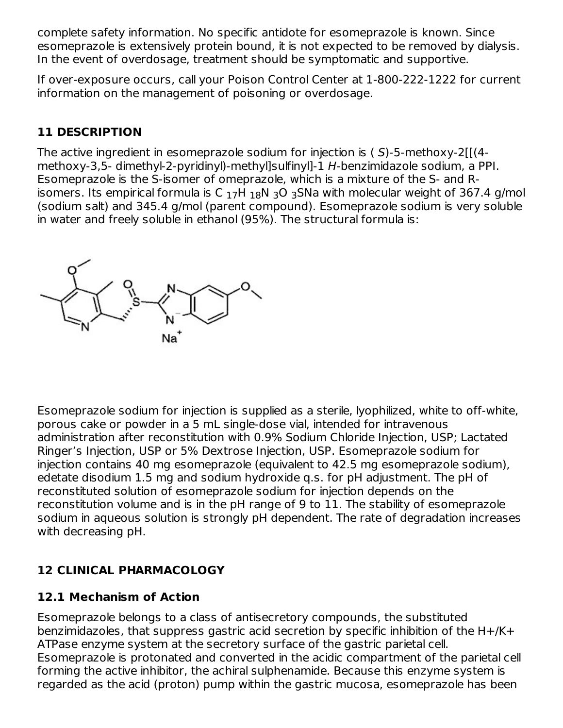complete safety information. No specific antidote for esomeprazole is known. Since esomeprazole is extensively protein bound, it is not expected to be removed by dialysis. In the event of overdosage, treatment should be symptomatic and supportive.

If over-exposure occurs, call your Poison Control Center at 1-800-222-1222 for current information on the management of poisoning or overdosage.

### **11 DESCRIPTION**

The active ingredient in esomeprazole sodium for injection is ( S)-5-methoxy-2[[(4 methoxy-3,5- dimethyl-2-pyridinyl)-methyl]sulfinyl]-1 H-benzimidazole sodium, a PPI. Esomeprazole is the S-isomer of omeprazole, which is a mixture of the S- and Risomers. Its empirical formula is C  $_{17}$ H  $_{18}$ N  $_{3}$ O  $_{3}$ SNa with molecular weight of 367.4 g/mol (sodium salt) and 345.4 g/mol (parent compound). Esomeprazole sodium is very soluble in water and freely soluble in ethanol (95%). The structural formula is:



Esomeprazole sodium for injection is supplied as a sterile, lyophilized, white to off-white, porous cake or powder in a 5 mL single-dose vial, intended for intravenous administration after reconstitution with 0.9% Sodium Chloride Injection, USP; Lactated Ringer's Injection, USP or 5% Dextrose Injection, USP. Esomeprazole sodium for injection contains 40 mg esomeprazole (equivalent to 42.5 mg esomeprazole sodium), edetate disodium 1.5 mg and sodium hydroxide q.s. for pH adjustment. The pH of reconstituted solution of esomeprazole sodium for injection depends on the reconstitution volume and is in the pH range of 9 to 11. The stability of esomeprazole sodium in aqueous solution is strongly pH dependent. The rate of degradation increases with decreasing pH.

## **12 CLINICAL PHARMACOLOGY**

### **12.1 Mechanism of Action**

Esomeprazole belongs to a class of antisecretory compounds, the substituted benzimidazoles, that suppress gastric acid secretion by specific inhibition of the H+/K+ ATPase enzyme system at the secretory surface of the gastric parietal cell. Esomeprazole is protonated and converted in the acidic compartment of the parietal cell forming the active inhibitor, the achiral sulphenamide. Because this enzyme system is regarded as the acid (proton) pump within the gastric mucosa, esomeprazole has been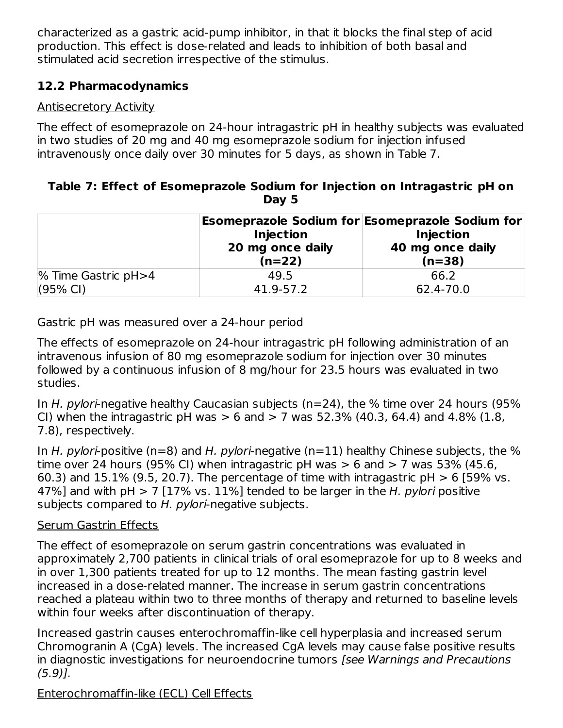characterized as a gastric acid-pump inhibitor, in that it blocks the final step of acid production. This effect is dose-related and leads to inhibition of both basal and stimulated acid secretion irrespective of the stimulus.

### **12.2 Pharmacodynamics**

### Antisecretory Activity

The effect of esomeprazole on 24-hour intragastric pH in healthy subjects was evaluated in two studies of 20 mg and 40 mg esomeprazole sodium for injection infused intravenously once daily over 30 minutes for 5 days, as shown in Table 7.

#### **Table 7: Effect of Esomeprazole Sodium for Injection on Intragastric pH on Day 5**

|                     | <b>Injection</b><br>20 mg once daily<br>$(n=22)$ | Esomeprazole Sodium for Esomeprazole Sodium for<br><b>Injection</b><br>40 mg once daily<br>$(n=38)$ |  |
|---------------------|--------------------------------------------------|-----------------------------------------------------------------------------------------------------|--|
| % Time Gastric pH>4 | 49.5                                             | 66.2                                                                                                |  |
| $(95% \text{ Cl})$  | 41.9-57.2                                        | 62.4-70.0                                                                                           |  |

Gastric pH was measured over a 24-hour period

The effects of esomeprazole on 24-hour intragastric pH following administration of an intravenous infusion of 80 mg esomeprazole sodium for injection over 30 minutes followed by a continuous infusion of 8 mg/hour for 23.5 hours was evaluated in two studies.

In H. pylori-negative healthy Caucasian subjects ( $n=24$ ), the % time over 24 hours (95% CI) when the intragastric pH was  $> 6$  and  $> 7$  was 52.3% (40.3, 64.4) and 4.8% (1.8, 7.8), respectively.

In H. pylori-positive ( $n=8$ ) and H. pylori-negative ( $n=11$ ) healthy Chinese subjects, the % time over 24 hours (95% CI) when intragastric pH was  $> 6$  and  $> 7$  was 53% (45.6, 60.3) and 15.1% (9.5, 20.7). The percentage of time with intragastric  $pH > 6$  [59% vs. 47%] and with pH  $> 7$  [17% vs. 11%] tended to be larger in the H, pylori positive subjects compared to H. pylori-negative subjects.

### Serum Gastrin Effects

The effect of esomeprazole on serum gastrin concentrations was evaluated in approximately 2,700 patients in clinical trials of oral esomeprazole for up to 8 weeks and in over 1,300 patients treated for up to 12 months. The mean fasting gastrin level increased in a dose-related manner. The increase in serum gastrin concentrations reached a plateau within two to three months of therapy and returned to baseline levels within four weeks after discontinuation of therapy.

Increased gastrin causes enterochromaffin-like cell hyperplasia and increased serum Chromogranin A (CgA) levels. The increased CgA levels may cause false positive results in diagnostic investigations for neuroendocrine tumors [see Warnings and Precautions (5.9)].

Enterochromaffin-like (ECL) Cell Effects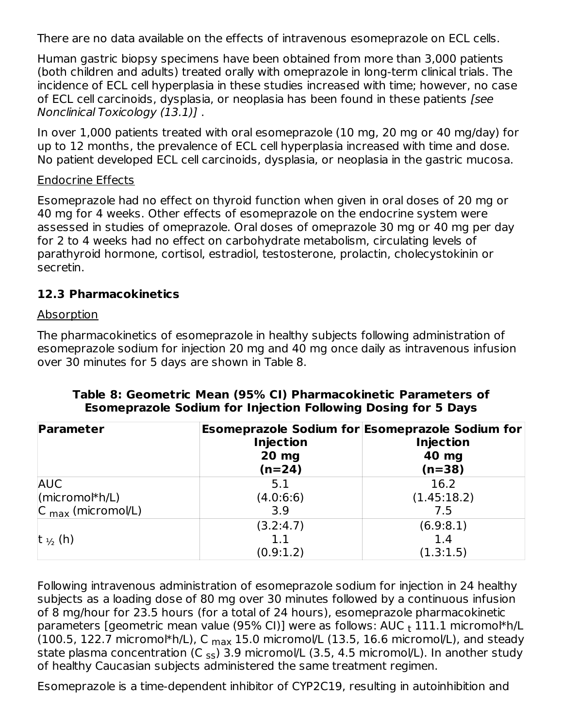There are no data available on the effects of intravenous esomeprazole on ECL cells.

Human gastric biopsy specimens have been obtained from more than 3,000 patients (both children and adults) treated orally with omeprazole in long-term clinical trials. The incidence of ECL cell hyperplasia in these studies increased with time; however, no case of ECL cell carcinoids, dysplasia, or neoplasia has been found in these patients [see Nonclinical Toxicology (13.1)] .

In over 1,000 patients treated with oral esomeprazole (10 mg, 20 mg or 40 mg/day) for up to 12 months, the prevalence of ECL cell hyperplasia increased with time and dose. No patient developed ECL cell carcinoids, dysplasia, or neoplasia in the gastric mucosa.

#### Endocrine Effects

Esomeprazole had no effect on thyroid function when given in oral doses of 20 mg or 40 mg for 4 weeks. Other effects of esomeprazole on the endocrine system were assessed in studies of omeprazole. Oral doses of omeprazole 30 mg or 40 mg per day for 2 to 4 weeks had no effect on carbohydrate metabolism, circulating levels of parathyroid hormone, cortisol, estradiol, testosterone, prolactin, cholecystokinin or secretin.

#### **12.3 Pharmacokinetics**

#### Absorption

The pharmacokinetics of esomeprazole in healthy subjects following administration of esomeprazole sodium for injection 20 mg and 40 mg once daily as intravenous infusion over 30 minutes for 5 days are shown in Table 8.

| Parameter                      | <b>Injection</b><br>20 mg<br>$(n=24)$ | Esomeprazole Sodium for Esomeprazole Sodium for<br><b>Injection</b><br>40 mg<br>$(n=38)$ |
|--------------------------------|---------------------------------------|------------------------------------------------------------------------------------------|
| <b>AUC</b>                     | 5.1                                   | 16.2                                                                                     |
| $ $ (micromo $ h $ /L)         | (4.0:6:6)                             | (1.45:18.2)                                                                              |
| $ C_{\text{max}}$ (micromol/L) | 3.9                                   | 7.5                                                                                      |
|                                | (3.2:4.7)                             | (6.9:8.1)                                                                                |
| t $\frac{1}{2}$ (h)            | 1.1                                   | 1.4                                                                                      |
|                                | (0.9:1.2)                             | (1.3:1.5)                                                                                |

#### **Table 8: Geometric Mean (95% CI) Pharmacokinetic Parameters of Esomeprazole Sodium for Injection Following Dosing for 5 Days**

Following intravenous administration of esomeprazole sodium for injection in 24 healthy subjects as a loading dose of 80 mg over 30 minutes followed by a continuous infusion of 8 mg/hour for 23.5 hours (for a total of 24 hours), esomeprazole pharmacokinetic parameters [geometric mean value (95% CI)] were as follows: AUC <sub>t</sub> 111.1 micromol\*h/L (100.5, 122.7 micromol\*h/L), C  $_{\sf max}$  15.0 micromol/L (13.5, 16.6 micromol/L), and steady state plasma concentration (C <sub>ss</sub>) 3.9 micromol/L (3.5, 4.5 micromol/L). In another study of healthy Caucasian subjects administered the same treatment regimen.

Esomeprazole is a time-dependent inhibitor of CYP2C19, resulting in autoinhibition and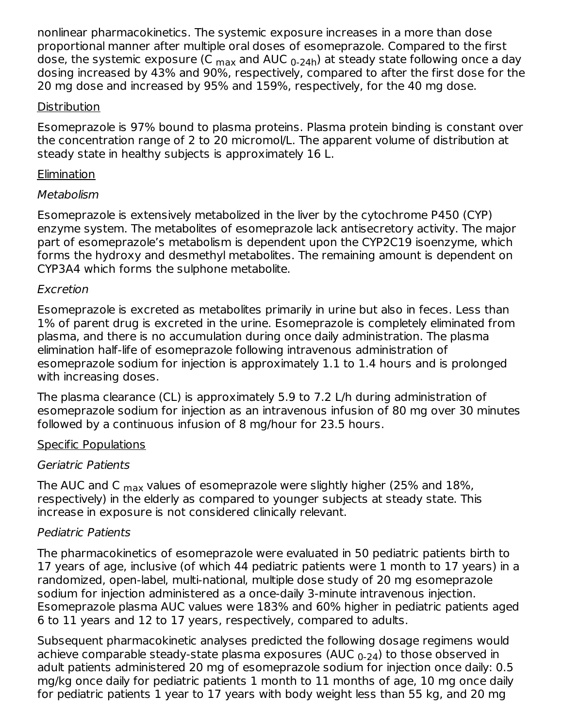nonlinear pharmacokinetics. The systemic exposure increases in a more than dose proportional manner after multiple oral doses of esomeprazole. Compared to the first dose, the systemic exposure (C <sub>max</sub> and AUC <sub>0-24h</sub>) at steady state following once a day dosing increased by 43% and 90%, respectively, compared to after the first dose for the 20 mg dose and increased by 95% and 159%, respectively, for the 40 mg dose.

#### **Distribution**

Esomeprazole is 97% bound to plasma proteins. Plasma protein binding is constant over the concentration range of 2 to 20 micromol/L. The apparent volume of distribution at steady state in healthy subjects is approximately 16 L.

#### Elimination

#### Metabolism

Esomeprazole is extensively metabolized in the liver by the cytochrome P450 (CYP) enzyme system. The metabolites of esomeprazole lack antisecretory activity. The major part of esomeprazole's metabolism is dependent upon the CYP2C19 isoenzyme, which forms the hydroxy and desmethyl metabolites. The remaining amount is dependent on CYP3A4 which forms the sulphone metabolite.

#### Excretion

Esomeprazole is excreted as metabolites primarily in urine but also in feces. Less than 1% of parent drug is excreted in the urine. Esomeprazole is completely eliminated from plasma, and there is no accumulation during once daily administration. The plasma elimination half-life of esomeprazole following intravenous administration of esomeprazole sodium for injection is approximately 1.1 to 1.4 hours and is prolonged with increasing doses.

The plasma clearance (CL) is approximately 5.9 to 7.2 L/h during administration of esomeprazole sodium for injection as an intravenous infusion of 80 mg over 30 minutes followed by a continuous infusion of 8 mg/hour for 23.5 hours.

#### Specific Populations

#### Geriatric Patients

The AUC and C  $_{\sf max}$  values of esomeprazole were slightly higher (25% and 18%, respectively) in the elderly as compared to younger subjects at steady state. This increase in exposure is not considered clinically relevant.

### Pediatric Patients

The pharmacokinetics of esomeprazole were evaluated in 50 pediatric patients birth to 17 years of age, inclusive (of which 44 pediatric patients were 1 month to 17 years) in a randomized, open-label, multi-national, multiple dose study of 20 mg esomeprazole sodium for injection administered as a once-daily 3-minute intravenous injection. Esomeprazole plasma AUC values were 183% and 60% higher in pediatric patients aged 6 to 11 years and 12 to 17 years, respectively, compared to adults.

Subsequent pharmacokinetic analyses predicted the following dosage regimens would achieve comparable steady-state plasma exposures (AUC  $_{\rm 0\text{-}24}$ ) to those observed in adult patients administered 20 mg of esomeprazole sodium for injection once daily: 0.5 mg/kg once daily for pediatric patients 1 month to 11 months of age, 10 mg once daily for pediatric patients 1 year to 17 years with body weight less than 55 kg, and 20 mg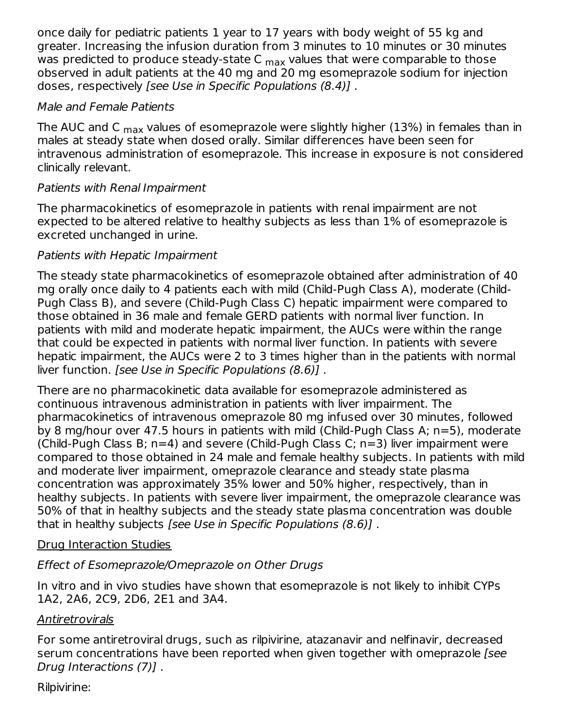once daily for pediatric patients 1 year to 17 years with body weight of 55 kg and greater. Increasing the infusion duration from 3 minutes to 10 minutes or 30 minutes was predicted to produce steady-state C <sub>max</sub> values that were comparable to those observed in adult patients at the 40 mg and 20 mg esomeprazole sodium for injection doses, respectively [see Use in Specific Populations (8.4)] .

#### Male and Female Patients

The AUC and C  $_{\sf max}$  values of esomeprazole were slightly higher (13%) in females than in males at steady state when dosed orally. Similar differences have been seen for intravenous administration of esomeprazole. This increase in exposure is not considered clinically relevant.

#### Patients with Renal Impairment

The pharmacokinetics of esomeprazole in patients with renal impairment are not expected to be altered relative to healthy subjects as less than 1% of esomeprazole is excreted unchanged in urine.

#### Patients with Hepatic Impairment

The steady state pharmacokinetics of esomeprazole obtained after administration of 40 mg orally once daily to 4 patients each with mild (Child-Pugh Class A), moderate (Child-Pugh Class B), and severe (Child-Pugh Class C) hepatic impairment were compared to those obtained in 36 male and female GERD patients with normal liver function. In patients with mild and moderate hepatic impairment, the AUCs were within the range that could be expected in patients with normal liver function. In patients with severe hepatic impairment, the AUCs were 2 to 3 times higher than in the patients with normal liver function. [see Use in Specific Populations (8.6)] .

There are no pharmacokinetic data available for esomeprazole administered as continuous intravenous administration in patients with liver impairment. The pharmacokinetics of intravenous omeprazole 80 mg infused over 30 minutes, followed by 8 mg/hour over 47.5 hours in patients with mild (Child-Pugh Class A; n=5), moderate (Child-Pugh Class B; n=4) and severe (Child-Pugh Class C; n=3) liver impairment were compared to those obtained in 24 male and female healthy subjects. In patients with mild and moderate liver impairment, omeprazole clearance and steady state plasma concentration was approximately 35% lower and 50% higher, respectively, than in healthy subjects. In patients with severe liver impairment, the omeprazole clearance was 50% of that in healthy subjects and the steady state plasma concentration was double that in healthy subjects [see Use in Specific Populations (8.6)] .

### Drug Interaction Studies

### Effect of Esomeprazole/Omeprazole on Other Drugs

In vitro and in vivo studies have shown that esomeprazole is not likely to inhibit CYPs 1A2, 2A6, 2C9, 2D6, 2E1 and 3A4.

#### **Antiretrovirals**

For some antiretroviral drugs, such as rilpivirine, atazanavir and nelfinavir, decreased serum concentrations have been reported when given together with omeprazole [see Drug Interactions (7)] .

Rilpivirine: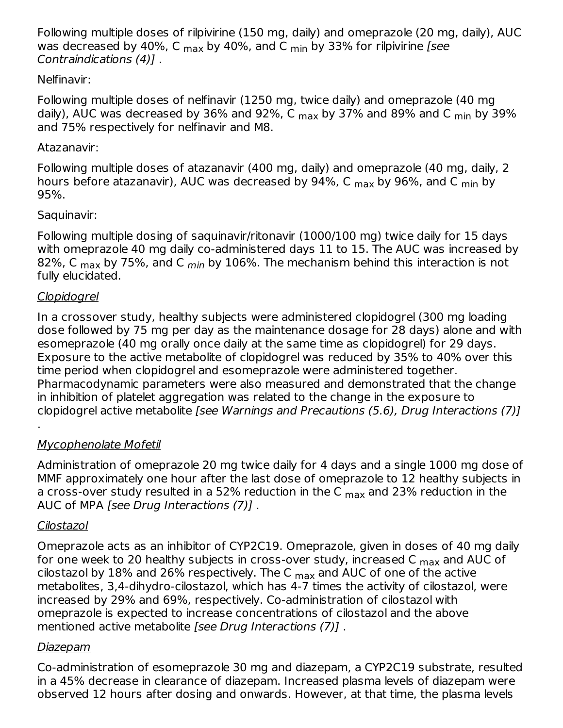Following multiple doses of rilpivirine (150 mg, daily) and omeprazole (20 mg, daily), AUC was decreased by 40%, C <sub>max</sub> by 40%, and C <sub>min</sub> by 33% for rilpivirine *[see* Contraindications (4)] .

#### Nelfinavir:

Following multiple doses of nelfinavir (1250 mg, twice daily) and omeprazole (40 mg daily), AUC was decreased by 36% and 92%, C <sub>max</sub> by 37% and 89% and C <sub>min</sub> by 39% and 75% respectively for nelfinavir and M8.

#### Atazanavir:

Following multiple doses of atazanavir (400 mg, daily) and omeprazole (40 mg, daily, 2 hours before atazanavir), AUC was decreased by 94%, C <sub>max</sub> by 96%, and C <sub>min</sub> by 95%.

### Saquinavir:

Following multiple dosing of saquinavir/ritonavir (1000/100 mg) twice daily for 15 days with omeprazole 40 mg daily co-administered days 11 to 15. The AUC was increased by 82%, C  $_{\sf max}$  by 75%, and C  $_{min}$  by 106%. The mechanism behind this interaction is not fully elucidated.

### Clopidogrel

In a crossover study, healthy subjects were administered clopidogrel (300 mg loading dose followed by 75 mg per day as the maintenance dosage for 28 days) alone and with esomeprazole (40 mg orally once daily at the same time as clopidogrel) for 29 days. Exposure to the active metabolite of clopidogrel was reduced by 35% to 40% over this time period when clopidogrel and esomeprazole were administered together. Pharmacodynamic parameters were also measured and demonstrated that the change in inhibition of platelet aggregation was related to the change in the exposure to clopidogrel active metabolite [see Warnings and Precautions (5.6), Drug Interactions (7)]

# Mycophenolate Mofetil

Administration of omeprazole 20 mg twice daily for 4 days and a single 1000 mg dose of MMF approximately one hour after the last dose of omeprazole to 12 healthy subjects in a cross-over study resulted in a 52% reduction in the C <sub>max</sub> and 23% reduction in the AUC of MPA [see Drug Interactions (7)] .

### Cilostazol

.

Omeprazole acts as an inhibitor of CYP2C19. Omeprazole, given in doses of 40 mg daily for one week to 20 healthy subjects in cross-over study, increased C <sub>max</sub> and AUC of cilostazol by  $18\%$  and 26% respectively. The C  $_{\sf max}$  and AUC of one of the active metabolites, 3,4-dihydro-cilostazol, which has 4-7 times the activity of cilostazol, were increased by 29% and 69%, respectively. Co-administration of cilostazol with omeprazole is expected to increase concentrations of cilostazol and the above mentioned active metabolite [see Drug Interactions (7)] .

### Diazepam

Co-administration of esomeprazole 30 mg and diazepam, a CYP2C19 substrate, resulted in a 45% decrease in clearance of diazepam. Increased plasma levels of diazepam were observed 12 hours after dosing and onwards. However, at that time, the plasma levels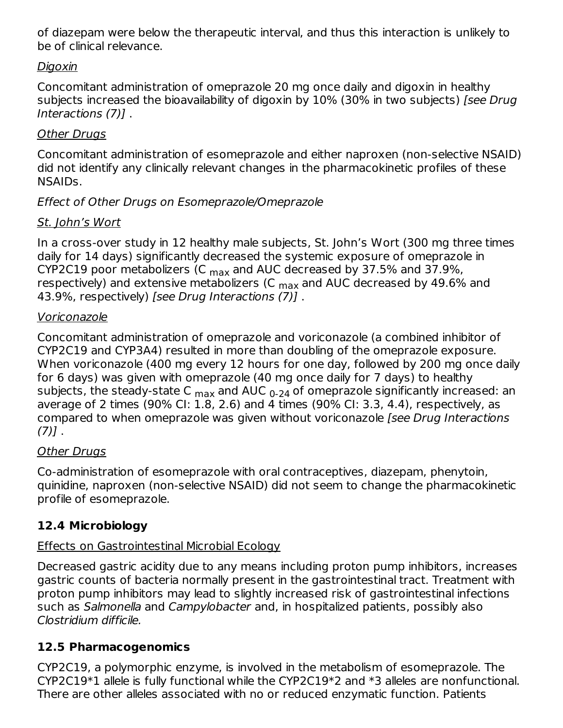of diazepam were below the therapeutic interval, and thus this interaction is unlikely to be of clinical relevance.

### Digoxin

Concomitant administration of omeprazole 20 mg once daily and digoxin in healthy subjects increased the bioavailability of digoxin by 10% (30% in two subjects) [see Drug Interactions (7)] .

### Other Drugs

Concomitant administration of esomeprazole and either naproxen (non-selective NSAID) did not identify any clinically relevant changes in the pharmacokinetic profiles of these NSAIDs.

### Effect of Other Drugs on Esomeprazole/Omeprazole

### St. John's Wort

In a cross-over study in 12 healthy male subjects, St. John's Wort (300 mg three times daily for 14 days) significantly decreased the systemic exposure of omeprazole in CYP2C19 poor metabolizers (C  $_{\sf max}$  and AUC decreased by 37.5% and 37.9%, respectively) and extensive metabolizers (C  $_{\rm max}$  and AUC decreased by 49.6% and 43.9%, respectively) [see Drug Interactions (7)] .

#### Voriconazole

Concomitant administration of omeprazole and voriconazole (a combined inhibitor of CYP2C19 and CYP3A4) resulted in more than doubling of the omeprazole exposure. When voriconazole (400 mg every 12 hours for one day, followed by 200 mg once daily for 6 days) was given with omeprazole (40 mg once daily for 7 days) to healthy subjects, the steady-state C <sub>max</sub> and AUC <sub>0-24</sub> of omeprazole significantly increased: an average of 2 times (90% CI: 1.8, 2.6) and 4 times (90% CI: 3.3, 4.4), respectively, as compared to when omeprazole was given without voriconazole [see Drug Interactions  $(7)$ ].

### Other Drugs

Co-administration of esomeprazole with oral contraceptives, diazepam, phenytoin, quinidine, naproxen (non-selective NSAID) did not seem to change the pharmacokinetic profile of esomeprazole.

### **12.4 Microbiology**

### Effects on Gastrointestinal Microbial Ecology

Decreased gastric acidity due to any means including proton pump inhibitors, increases gastric counts of bacteria normally present in the gastrointestinal tract. Treatment with proton pump inhibitors may lead to slightly increased risk of gastrointestinal infections such as Salmonella and Campylobacter and, in hospitalized patients, possibly also Clostridium difficile.

### **12.5 Pharmacogenomics**

CYP2C19, a polymorphic enzyme, is involved in the metabolism of esomeprazole. The CYP2C19\*1 allele is fully functional while the CYP2C19\*2 and \*3 alleles are nonfunctional. There are other alleles associated with no or reduced enzymatic function. Patients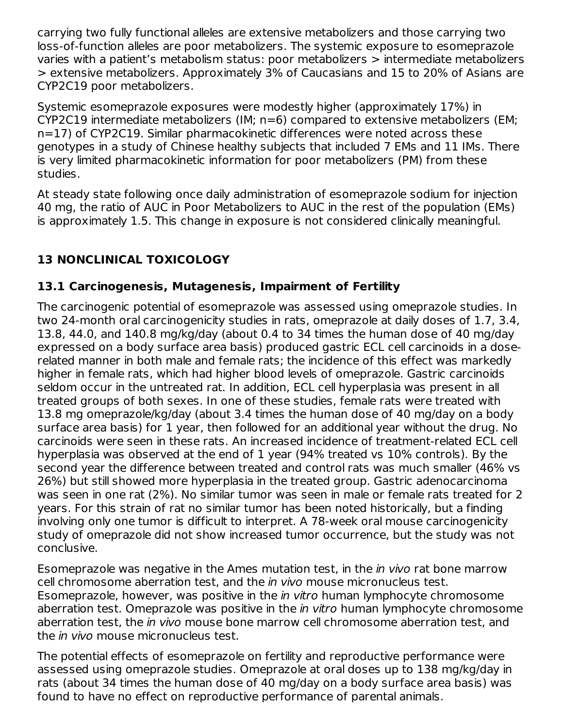carrying two fully functional alleles are extensive metabolizers and those carrying two loss-of-function alleles are poor metabolizers. The systemic exposure to esomeprazole varies with a patient's metabolism status: poor metabolizers > intermediate metabolizers > extensive metabolizers. Approximately 3% of Caucasians and 15 to 20% of Asians are CYP2C19 poor metabolizers.

Systemic esomeprazole exposures were modestly higher (approximately 17%) in CYP2C19 intermediate metabolizers (IM; n=6) compared to extensive metabolizers (EM; n=17) of CYP2C19. Similar pharmacokinetic differences were noted across these genotypes in a study of Chinese healthy subjects that included 7 EMs and 11 IMs. There is very limited pharmacokinetic information for poor metabolizers (PM) from these studies.

At steady state following once daily administration of esomeprazole sodium for injection 40 mg, the ratio of AUC in Poor Metabolizers to AUC in the rest of the population (EMs) is approximately 1.5. This change in exposure is not considered clinically meaningful.

## **13 NONCLINICAL TOXICOLOGY**

### **13.1 Carcinogenesis, Mutagenesis, Impairment of Fertility**

The carcinogenic potential of esomeprazole was assessed using omeprazole studies. In two 24-month oral carcinogenicity studies in rats, omeprazole at daily doses of 1.7, 3.4, 13.8, 44.0, and 140.8 mg/kg/day (about 0.4 to 34 times the human dose of 40 mg/day expressed on a body surface area basis) produced gastric ECL cell carcinoids in a doserelated manner in both male and female rats; the incidence of this effect was markedly higher in female rats, which had higher blood levels of omeprazole. Gastric carcinoids seldom occur in the untreated rat. In addition, ECL cell hyperplasia was present in all treated groups of both sexes. In one of these studies, female rats were treated with 13.8 mg omeprazole/kg/day (about 3.4 times the human dose of 40 mg/day on a body surface area basis) for 1 year, then followed for an additional year without the drug. No carcinoids were seen in these rats. An increased incidence of treatment-related ECL cell hyperplasia was observed at the end of 1 year (94% treated vs 10% controls). By the second year the difference between treated and control rats was much smaller (46% vs 26%) but still showed more hyperplasia in the treated group. Gastric adenocarcinoma was seen in one rat (2%). No similar tumor was seen in male or female rats treated for 2 years. For this strain of rat no similar tumor has been noted historically, but a finding involving only one tumor is difficult to interpret. A 78-week oral mouse carcinogenicity study of omeprazole did not show increased tumor occurrence, but the study was not conclusive.

Esomeprazole was negative in the Ames mutation test, in the *in vivo* rat bone marrow cell chromosome aberration test, and the in vivo mouse micronucleus test. Esomeprazole, however, was positive in the in vitro human lymphocyte chromosome aberration test. Omeprazole was positive in the *in vitro* human lymphocyte chromosome aberration test, the *in vivo* mouse bone marrow cell chromosome aberration test, and the *in vivo* mouse micronucleus test.

The potential effects of esomeprazole on fertility and reproductive performance were assessed using omeprazole studies. Omeprazole at oral doses up to 138 mg/kg/day in rats (about 34 times the human dose of 40 mg/day on a body surface area basis) was found to have no effect on reproductive performance of parental animals.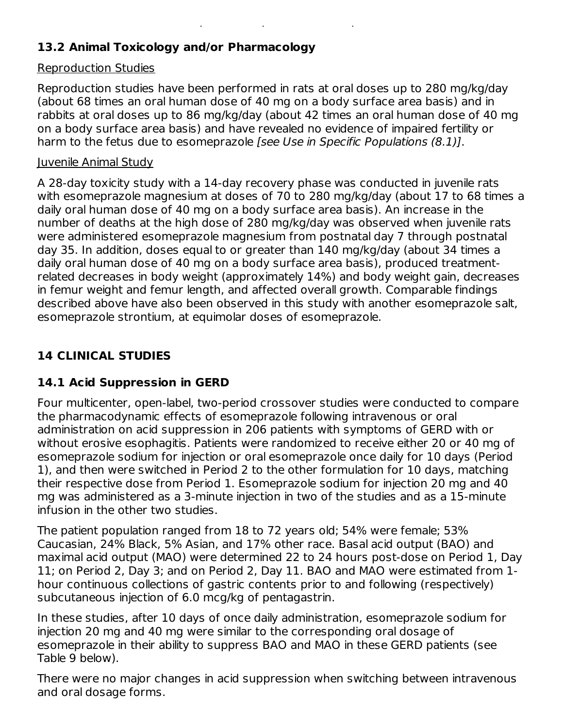### **13.2 Animal Toxicology and/or Pharmacology**

### Reproduction Studies

Reproduction studies have been performed in rats at oral doses up to 280 mg/kg/day (about 68 times an oral human dose of 40 mg on a body surface area basis) and in rabbits at oral doses up to 86 mg/kg/day (about 42 times an oral human dose of 40 mg on a body surface area basis) and have revealed no evidence of impaired fertility or harm to the fetus due to esomeprazole [see Use in Specific Populations (8.1)].

found to have no effect on reproductive performance of parental animals.

### Juvenile Animal Study

A 28-day toxicity study with a 14-day recovery phase was conducted in juvenile rats with esomeprazole magnesium at doses of 70 to 280 mg/kg/day (about 17 to 68 times a daily oral human dose of 40 mg on a body surface area basis). An increase in the number of deaths at the high dose of 280 mg/kg/day was observed when juvenile rats were administered esomeprazole magnesium from postnatal day 7 through postnatal day 35. In addition, doses equal to or greater than 140 mg/kg/day (about 34 times a daily oral human dose of 40 mg on a body surface area basis), produced treatmentrelated decreases in body weight (approximately 14%) and body weight gain, decreases in femur weight and femur length, and affected overall growth. Comparable findings described above have also been observed in this study with another esomeprazole salt, esomeprazole strontium, at equimolar doses of esomeprazole.

### **14 CLINICAL STUDIES**

## **14.1 Acid Suppression in GERD**

Four multicenter, open-label, two-period crossover studies were conducted to compare the pharmacodynamic effects of esomeprazole following intravenous or oral administration on acid suppression in 206 patients with symptoms of GERD with or without erosive esophagitis. Patients were randomized to receive either 20 or 40 mg of esomeprazole sodium for injection or oral esomeprazole once daily for 10 days (Period 1), and then were switched in Period 2 to the other formulation for 10 days, matching their respective dose from Period 1. Esomeprazole sodium for injection 20 mg and 40 mg was administered as a 3-minute injection in two of the studies and as a 15-minute infusion in the other two studies.

The patient population ranged from 18 to 72 years old; 54% were female; 53% Caucasian, 24% Black, 5% Asian, and 17% other race. Basal acid output (BAO) and maximal acid output (MAO) were determined 22 to 24 hours post-dose on Period 1, Day 11; on Period 2, Day 3; and on Period 2, Day 11. BAO and MAO were estimated from 1 hour continuous collections of gastric contents prior to and following (respectively) subcutaneous injection of 6.0 mcg/kg of pentagastrin.

In these studies, after 10 days of once daily administration, esomeprazole sodium for injection 20 mg and 40 mg were similar to the corresponding oral dosage of esomeprazole in their ability to suppress BAO and MAO in these GERD patients (see Table 9 below).

There were no major changes in acid suppression when switching between intravenous and oral dosage forms.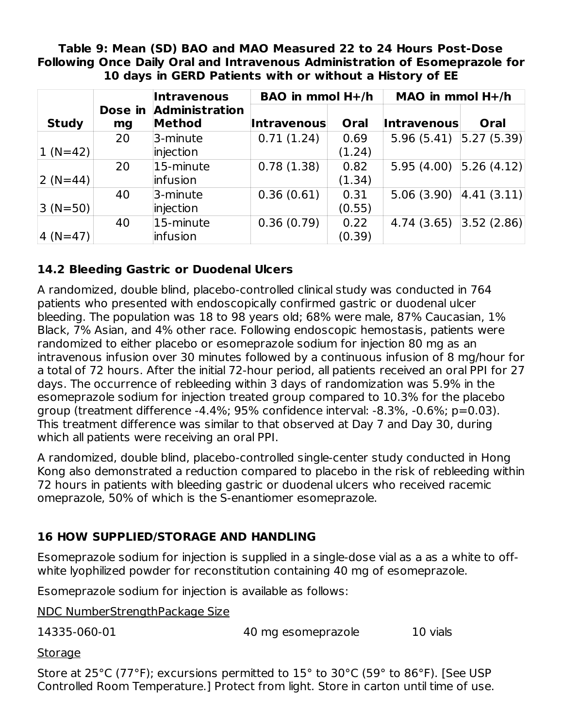#### **Table 9: Mean (SD) BAO and MAO Measured 22 to 24 Hours Post-Dose Following Once Daily Oral and Intravenous Administration of Esomeprazole for 10 days in GERD Patients with or without a History of EE**

|              |    | <b>Intravenous</b>                      | BAO in mmol H+/h   |        | MAO in mmol $H+/h$         |            |
|--------------|----|-----------------------------------------|--------------------|--------|----------------------------|------------|
| <b>Study</b> | mg | Dose in Administration<br><b>Method</b> | <b>Intravenous</b> | Oral   | Intravenous                | Oral       |
|              | 20 | 3-minute                                | 0.71(1.24)         | 0.69   | $5.96(5.41)$ $ 5.27(5.39)$ |            |
| $ 1 (N=42) $ |    | injection                               |                    | (1.24) |                            |            |
|              | 20 | 15-minute                               | 0.78(1.38)         | 0.82   | 5.95(4.00)                 | 5.26(4.12) |
| $ 2 (N=44) $ |    | infusion                                |                    | (1.34) |                            |            |
|              | 40 | 3-minute                                | 0.36(0.61)         | 0.31   | 5.06(3.90)                 | 4.41(3.11) |
| $ 3 (N=50) $ |    | injection                               |                    | (0.55) |                            |            |
|              | 40 | 15-minute                               | 0.36(0.79)         | 0.22   | 4.74(3.65)                 | 3.52(2.86) |
| $ 4 (N=47) $ |    | infusion                                |                    | (0.39) |                            |            |

### **14.2 Bleeding Gastric or Duodenal Ulcers**

A randomized, double blind, placebo-controlled clinical study was conducted in 764 patients who presented with endoscopically confirmed gastric or duodenal ulcer bleeding. The population was 18 to 98 years old; 68% were male, 87% Caucasian, 1% Black, 7% Asian, and 4% other race. Following endoscopic hemostasis, patients were randomized to either placebo or esomeprazole sodium for injection 80 mg as an intravenous infusion over 30 minutes followed by a continuous infusion of 8 mg/hour for a total of 72 hours. After the initial 72-hour period, all patients received an oral PPI for 27 days. The occurrence of rebleeding within 3 days of randomization was 5.9% in the esomeprazole sodium for injection treated group compared to 10.3% for the placebo group (treatment difference -4.4%; 95% confidence interval: -8.3%, -0.6%; p=0.03). This treatment difference was similar to that observed at Day 7 and Day 30, during which all patients were receiving an oral PPI.

A randomized, double blind, placebo-controlled single-center study conducted in Hong Kong also demonstrated a reduction compared to placebo in the risk of rebleeding within 72 hours in patients with bleeding gastric or duodenal ulcers who received racemic omeprazole, 50% of which is the S-enantiomer esomeprazole.

### **16 HOW SUPPLIED/STORAGE AND HANDLING**

Esomeprazole sodium for injection is supplied in a single-dose vial as a as a white to offwhite lyophilized powder for reconstitution containing 40 mg of esomeprazole.

Esomeprazole sodium for injection is available as follows:

NDC NumberStrengthPackage Size

14335-060-01 40 mg esomeprazole 10 vials

**Storage** 

Store at 25°C (77°F); excursions permitted to 15° to 30°C (59° to 86°F). [See USP Controlled Room Temperature.] Protect from light. Store in carton until time of use.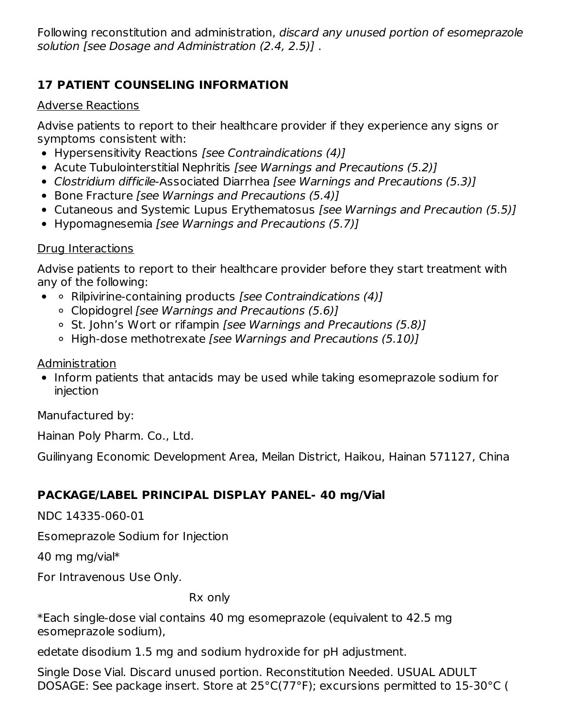Following reconstitution and administration, discard any unused portion of esomeprazole solution [see Dosage and Administration (2.4, 2.5)] .

### **17 PATIENT COUNSELING INFORMATION**

#### Adverse Reactions

Advise patients to report to their healthcare provider if they experience any signs or symptoms consistent with:

- Hypersensitivity Reactions [see Contraindications (4)]
- Acute Tubulointerstitial Nephritis [see Warnings and Precautions (5.2)]
- Clostridium difficile-Associated Diarrhea [see Warnings and Precautions (5.3)]
- Bone Fracture [see Warnings and Precautions (5.4)]
- Cutaneous and Systemic Lupus Erythematosus *[see Warnings and Precaution (5.5)]*
- Hypomagnesemia [see Warnings and Precautions (5.7)]

### Drug Interactions

Advise patients to report to their healthcare provider before they start treatment with any of the following:

- $\circ$  Rilpivirine-containing products [see Contraindications (4)]
	- Clopidogrel [see Warnings and Precautions (5.6)]
	- <sup>o</sup> St. John's Wort or rifampin *[see Warnings and Precautions (5.8)]*
	- High-dose methotrexate [see Warnings and Precautions (5.10)]

Administration

• Inform patients that antacids may be used while taking esomeprazole sodium for injection

Manufactured by:

Hainan Poly Pharm. Co., Ltd.

Guilinyang Economic Development Area, Meilan District, Haikou, Hainan 571127, China

### **PACKAGE/LABEL PRINCIPAL DISPLAY PANEL- 40 mg/Vial**

NDC 14335-060-01

Esomeprazole Sodium for Injection

40 mg mg/vial\*

For Intravenous Use Only.

Rx only

\*Each single-dose vial contains 40 mg esomeprazole (equivalent to 42.5 mg esomeprazole sodium),

edetate disodium 1.5 mg and sodium hydroxide for pH adjustment.

Single Dose Vial. Discard unused portion. Reconstitution Needed. USUAL ADULT DOSAGE: See package insert. Store at 25°C(77°F); excursions permitted to 15-30°C (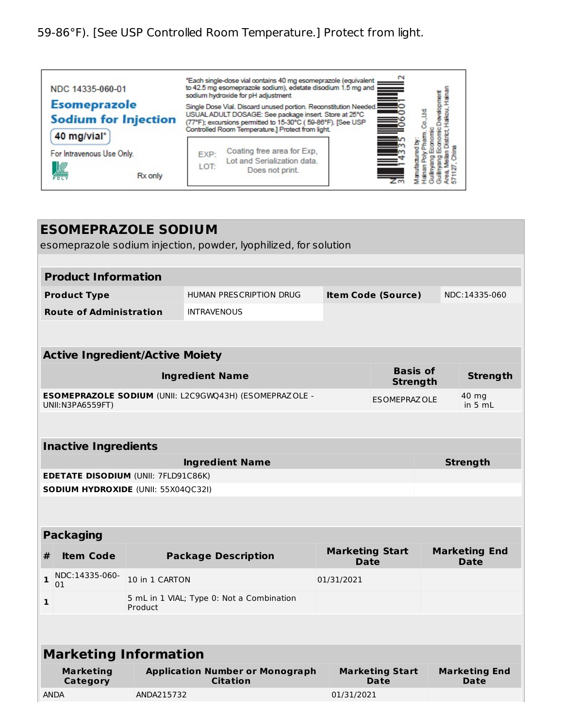# 59-86°F). [See USP Controlled Room Temperature.] Protect from light.

| NDC 14335-060-01                                                  | "Each single-dose vial contains 40 mg esomeprazole (equivalent<br>to 42.5 mg esomeprazole sodium), edetate disodium 1.5 mg and<br>═<br>sodium hydroxide for pH adjustment                                                                          |  |
|-------------------------------------------------------------------|----------------------------------------------------------------------------------------------------------------------------------------------------------------------------------------------------------------------------------------------------|--|
| <b>Esomeprazole</b><br><b>Sodium for Injection</b><br>40 mg/vial* | Single Dose Vial. Discard unused portion. Reconstitution Needed.<br>USUAL ADULT DOSAGE: See package insert. Store at 25°C<br>ڪ<br>(77°F); excursions permitted to 15-30°C (59-86°F). [See USP<br>Controlled Room Temperature.] Protect from light. |  |
| For Intravenous Use Only.<br>Rx only<br>POL                       | Coating free area for Exp.<br><b>EXP:</b><br>$\equiv$<br>Lot and Serialization data.<br>LOT:<br>Does not print.                                                                                                                                    |  |

| <b>ESOMEPRAZOLE SODIUM</b>                                       |                                            |                |                                                                                                    |                                       |                                    |  |                              |
|------------------------------------------------------------------|--------------------------------------------|----------------|----------------------------------------------------------------------------------------------------|---------------------------------------|------------------------------------|--|------------------------------|
| esomeprazole sodium injection, powder, lyophilized, for solution |                                            |                |                                                                                                    |                                       |                                    |  |                              |
|                                                                  |                                            |                |                                                                                                    |                                       |                                    |  |                              |
|                                                                  | <b>Product Information</b>                 |                |                                                                                                    |                                       |                                    |  |                              |
|                                                                  | <b>Product Type</b>                        |                | HUMAN PRESCRIPTION DRUG                                                                            |                                       | <b>Item Code (Source)</b>          |  | NDC:14335-060                |
|                                                                  | <b>Route of Administration</b>             |                | <b>INTRAVENOUS</b>                                                                                 |                                       |                                    |  |                              |
|                                                                  |                                            |                |                                                                                                    |                                       |                                    |  |                              |
|                                                                  | <b>Active Ingredient/Active Moiety</b>     |                |                                                                                                    |                                       |                                    |  |                              |
|                                                                  |                                            |                | <b>Ingredient Name</b>                                                                             |                                       | <b>Basis of</b><br><b>Strength</b> |  | <b>Strength</b>              |
|                                                                  | UNII:N3PA6559FT)                           |                | ESOMEPRAZOLE SODIUM (UNII: L2C9GWQ43H) (ESOMEPRAZOLE -                                             |                                       | <b>ESOMEPRAZOLE</b>                |  | 40 mg<br>in 5 mL             |
|                                                                  |                                            |                |                                                                                                    |                                       |                                    |  |                              |
|                                                                  | <b>Inactive Ingredients</b>                |                |                                                                                                    |                                       |                                    |  |                              |
|                                                                  |                                            |                | <b>Ingredient Name</b>                                                                             |                                       |                                    |  | <b>Strength</b>              |
|                                                                  | <b>EDETATE DISODIUM (UNII: 7FLD91C86K)</b> |                |                                                                                                    |                                       |                                    |  |                              |
| <b>SODIUM HYDROXIDE (UNII: 55X04QC32I)</b>                       |                                            |                |                                                                                                    |                                       |                                    |  |                              |
|                                                                  | <b>Packaging</b>                           |                |                                                                                                    |                                       |                                    |  |                              |
| #                                                                | <b>Item Code</b>                           |                | <b>Package Description</b>                                                                         | <b>Marketing Start</b><br><b>Date</b> |                                    |  | <b>Marketing End</b><br>Date |
| $\mathbf{1}$                                                     | NDC:14335-060-<br>01                       | 10 in 1 CARTON |                                                                                                    | 01/31/2021                            |                                    |  |                              |
| $\mathbf{1}$                                                     |                                            | Product        | 5 mL in 1 VIAL; Type 0: Not a Combination                                                          |                                       |                                    |  |                              |
|                                                                  |                                            |                |                                                                                                    |                                       |                                    |  |                              |
| <b>Marketing Information</b>                                     |                                            |                |                                                                                                    |                                       |                                    |  |                              |
|                                                                  | <b>Marketing</b><br>Category               |                | <b>Application Number or Monograph</b><br><b>Marketing Start</b><br><b>Citation</b><br><b>Date</b> |                                       | <b>Marketing End</b><br>Date       |  |                              |
| <b>ANDA</b>                                                      |                                            | ANDA215732     |                                                                                                    | 01/31/2021                            |                                    |  |                              |